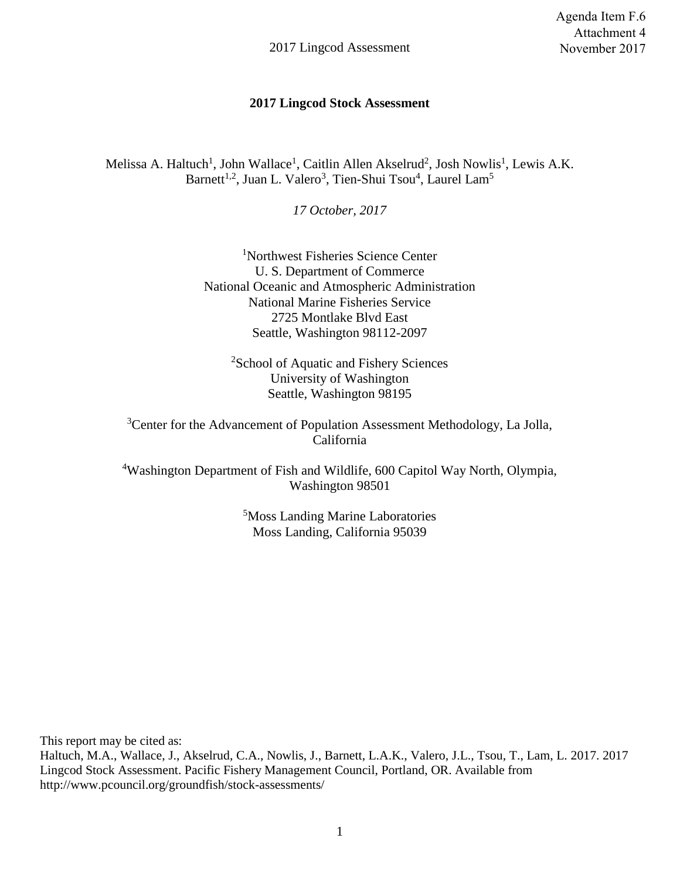#### **2017 Lingcod Stock Assessment**

Melissa A. Haltuch<sup>1</sup>, John Wallace<sup>1</sup>, Caitlin Allen Akselrud<sup>2</sup>, Josh Nowlis<sup>1</sup>, Lewis A.K. Barnett<sup>1,2</sup>, Juan L. Valero<sup>3</sup>, Tien-Shui Tsou<sup>4</sup>, Laurel Lam<sup>5</sup>

*17 October, 2017*

<sup>1</sup>Northwest Fisheries Science Center U. S. Department of Commerce National Oceanic and Atmospheric Administration National Marine Fisheries Service 2725 Montlake Blvd East Seattle, Washington 98112-2097

<sup>2</sup>School of Aquatic and Fishery Sciences University of Washington Seattle, Washington 98195

<sup>3</sup>Center for the Advancement of Population Assessment Methodology, La Jolla, California

<sup>4</sup>Washington Department of Fish and Wildlife, 600 Capitol Way North, Olympia, Washington 98501

> <sup>5</sup>Moss Landing Marine Laboratories Moss Landing, California 95039

This report may be cited as:

Haltuch, M.A., Wallace, J., Akselrud, C.A., Nowlis, J., Barnett, L.A.K., Valero, J.L., Tsou, T., Lam, L. 2017. 2017 Lingcod Stock Assessment. Pacific Fishery Management Council, Portland, OR. Available from http://www.pcouncil.org/groundfish/stock-assessments/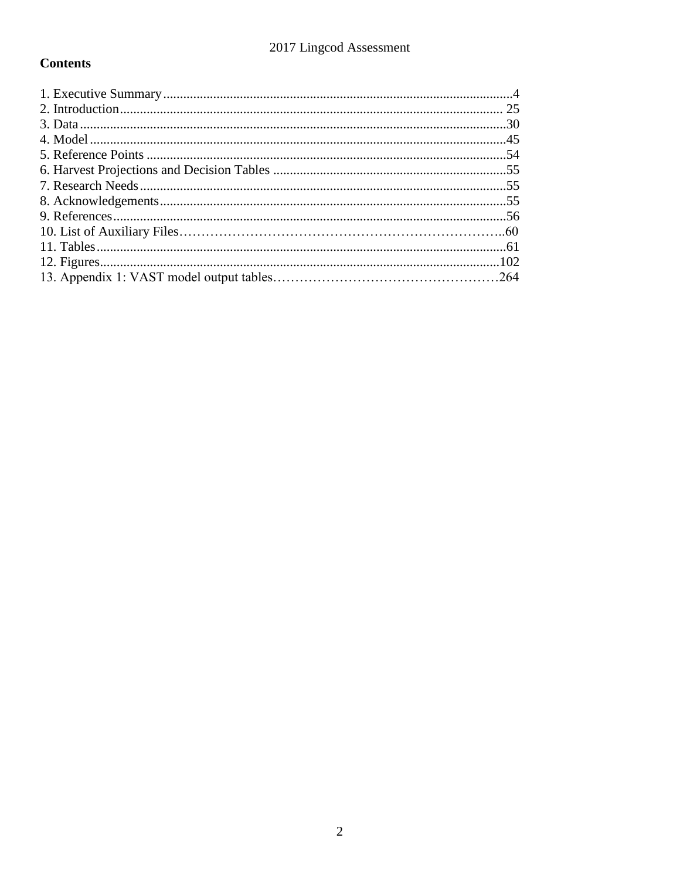# **Contents**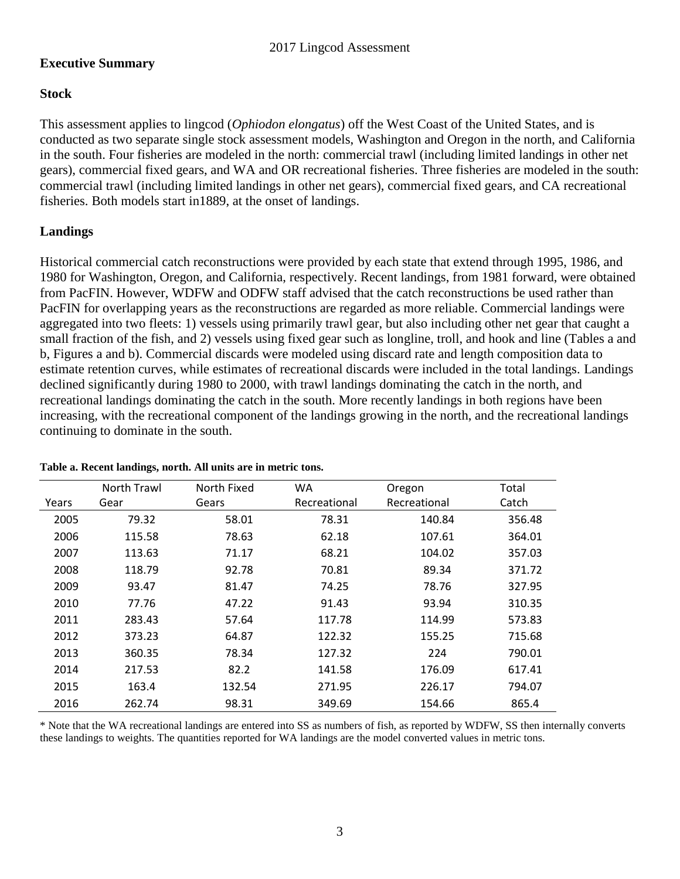### **Executive Summary**

### **Stock**

This assessment applies to lingcod (*Ophiodon elongatus*) off the West Coast of the United States, and is conducted as two separate single stock assessment models, Washington and Oregon in the north, and California in the south. Four fisheries are modeled in the north: commercial trawl (including limited landings in other net gears), commercial fixed gears, and WA and OR recreational fisheries. Three fisheries are modeled in the south: commercial trawl (including limited landings in other net gears), commercial fixed gears, and CA recreational fisheries. Both models start in1889, at the onset of landings.

### **Landings**

Historical commercial catch reconstructions were provided by each state that extend through 1995, 1986, and 1980 for Washington, Oregon, and California, respectively. Recent landings, from 1981 forward, were obtained from PacFIN. However, WDFW and ODFW staff advised that the catch reconstructions be used rather than PacFIN for overlapping years as the reconstructions are regarded as more reliable. Commercial landings were aggregated into two fleets: 1) vessels using primarily trawl gear, but also including other net gear that caught a small fraction of the fish, and 2) vessels using fixed gear such as longline, troll, and hook and line (Tables a and b, Figures a and b). Commercial discards were modeled using discard rate and length composition data to estimate retention curves, while estimates of recreational discards were included in the total landings. Landings declined significantly during 1980 to 2000, with trawl landings dominating the catch in the north, and recreational landings dominating the catch in the south. More recently landings in both regions have been increasing, with the recreational component of the landings growing in the north, and the recreational landings continuing to dominate in the south.

|       | North Trawl | North Fixed | <b>WA</b>    | Oregon       | Total  |
|-------|-------------|-------------|--------------|--------------|--------|
| Years | Gear        | Gears       | Recreational | Recreational | Catch  |
| 2005  | 79.32       | 58.01       | 78.31        | 140.84       | 356.48 |
| 2006  | 115.58      | 78.63       | 62.18        | 107.61       | 364.01 |
| 2007  | 113.63      | 71.17       | 68.21        | 104.02       | 357.03 |
| 2008  | 118.79      | 92.78       | 70.81        | 89.34        | 371.72 |
| 2009  | 93.47       | 81.47       | 74.25        | 78.76        | 327.95 |
| 2010  | 77.76       | 47.22       | 91.43        | 93.94        | 310.35 |
| 2011  | 283.43      | 57.64       | 117.78       | 114.99       | 573.83 |
| 2012  | 373.23      | 64.87       | 122.32       | 155.25       | 715.68 |
| 2013  | 360.35      | 78.34       | 127.32       | 224          | 790.01 |
| 2014  | 217.53      | 82.2        | 141.58       | 176.09       | 617.41 |
| 2015  | 163.4       | 132.54      | 271.95       | 226.17       | 794.07 |
| 2016  | 262.74      | 98.31       | 349.69       | 154.66       | 865.4  |

#### **Table a. Recent landings, north. All units are in metric tons.**

\* Note that the WA recreational landings are entered into SS as numbers of fish, as reported by WDFW, SS then internally converts these landings to weights. The quantities reported for WA landings are the model converted values in metric tons.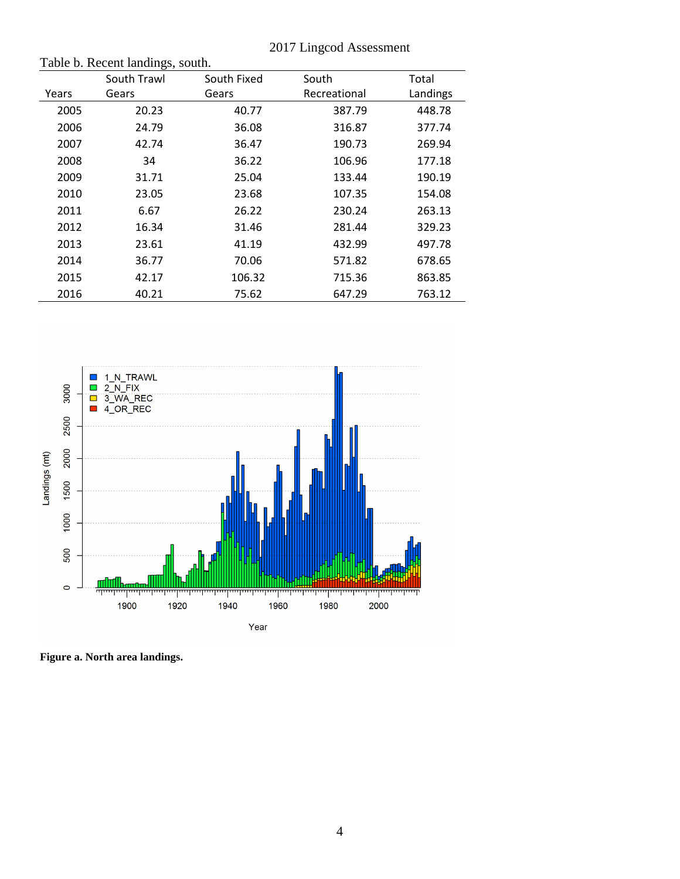| Table b. Recent landings, south. |             |             |              |          |  |  |  |
|----------------------------------|-------------|-------------|--------------|----------|--|--|--|
|                                  | South Trawl | South Fixed | South        | Total    |  |  |  |
| Years                            | Gears       | Gears       | Recreational | Landings |  |  |  |
| 2005                             | 20.23       | 40.77       | 387.79       | 448.78   |  |  |  |
| 2006                             | 24.79       | 36.08       | 316.87       | 377.74   |  |  |  |
| 2007                             | 42.74       | 36.47       | 190.73       | 269.94   |  |  |  |
| 2008                             | 34          | 36.22       | 106.96       | 177.18   |  |  |  |
| 2009                             | 31.71       | 25.04       | 133.44       | 190.19   |  |  |  |
| 2010                             | 23.05       | 23.68       | 107.35       | 154.08   |  |  |  |
| 2011                             | 6.67        | 26.22       | 230.24       | 263.13   |  |  |  |
| 2012                             | 16.34       | 31.46       | 281.44       | 329.23   |  |  |  |
| 2013                             | 23.61       | 41.19       | 432.99       | 497.78   |  |  |  |
| 2014                             | 36.77       | 70.06       | 571.82       | 678.65   |  |  |  |
| 2015                             | 42.17       | 106.32      | 715.36       | 863.85   |  |  |  |
| 2016                             | 40.21       | 75.62       | 647.29       | 763.12   |  |  |  |



**Figure a. North area landings.**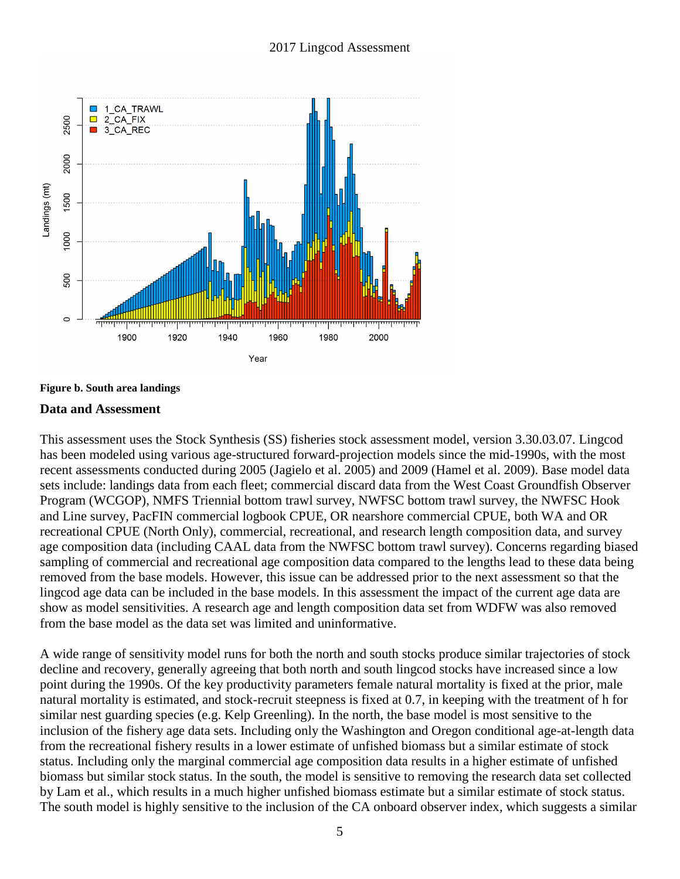



#### **Data and Assessment**

This assessment uses the Stock Synthesis (SS) fisheries stock assessment model, version 3.30.03.07. Lingcod has been modeled using various age-structured forward-projection models since the mid-1990s, with the most recent assessments conducted during 2005 (Jagielo et al. 2005) and 2009 (Hamel et al. 2009). Base model data sets include: landings data from each fleet; commercial discard data from the West Coast Groundfish Observer Program (WCGOP), NMFS Triennial bottom trawl survey, NWFSC bottom trawl survey, the NWFSC Hook and Line survey, PacFIN commercial logbook CPUE, OR nearshore commercial CPUE, both WA and OR recreational CPUE (North Only), commercial, recreational, and research length composition data, and survey age composition data (including CAAL data from the NWFSC bottom trawl survey). Concerns regarding biased sampling of commercial and recreational age composition data compared to the lengths lead to these data being removed from the base models. However, this issue can be addressed prior to the next assessment so that the lingcod age data can be included in the base models. In this assessment the impact of the current age data are show as model sensitivities. A research age and length composition data set from WDFW was also removed from the base model as the data set was limited and uninformative.

A wide range of sensitivity model runs for both the north and south stocks produce similar trajectories of stock decline and recovery, generally agreeing that both north and south lingcod stocks have increased since a low point during the 1990s. Of the key productivity parameters female natural mortality is fixed at the prior, male natural mortality is estimated, and stock-recruit steepness is fixed at 0.7, in keeping with the treatment of h for similar nest guarding species (e.g. Kelp Greenling). In the north, the base model is most sensitive to the inclusion of the fishery age data sets. Including only the Washington and Oregon conditional age-at-length data from the recreational fishery results in a lower estimate of unfished biomass but a similar estimate of stock status. Including only the marginal commercial age composition data results in a higher estimate of unfished biomass but similar stock status. In the south, the model is sensitive to removing the research data set collected by Lam et al., which results in a much higher unfished biomass estimate but a similar estimate of stock status. The south model is highly sensitive to the inclusion of the CA onboard observer index, which suggests a similar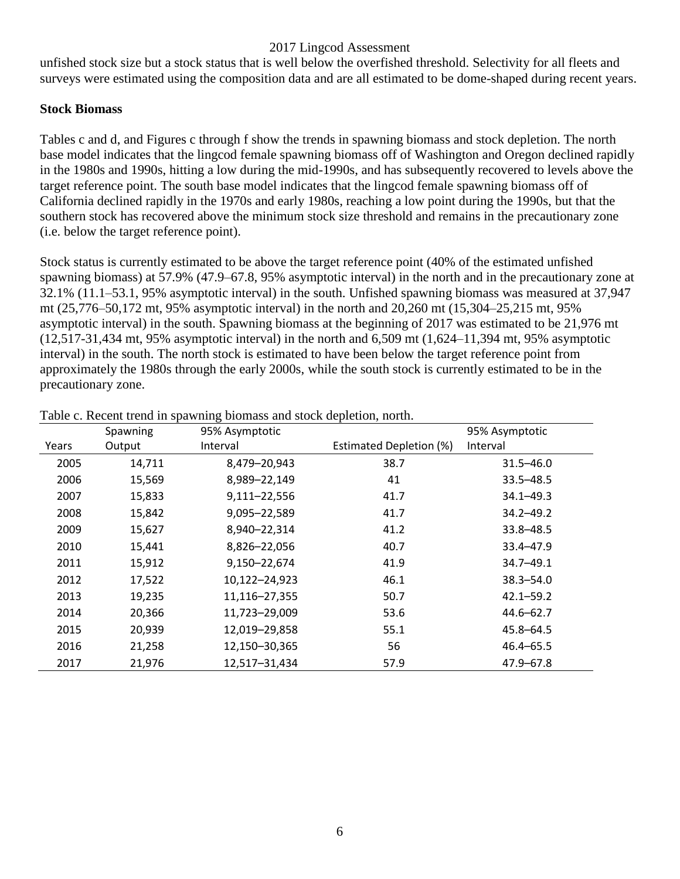unfished stock size but a stock status that is well below the overfished threshold. Selectivity for all fleets and surveys were estimated using the composition data and are all estimated to be dome-shaped during recent years.

#### **Stock Biomass**

Tables c and d, and Figures c through f show the trends in spawning biomass and stock depletion. The north base model indicates that the lingcod female spawning biomass off of Washington and Oregon declined rapidly in the 1980s and 1990s, hitting a low during the mid-1990s, and has subsequently recovered to levels above the target reference point. The south base model indicates that the lingcod female spawning biomass off of California declined rapidly in the 1970s and early 1980s, reaching a low point during the 1990s, but that the southern stock has recovered above the minimum stock size threshold and remains in the precautionary zone (i.e. below the target reference point).

Stock status is currently estimated to be above the target reference point (40% of the estimated unfished spawning biomass) at 57.9% (47.9–67.8, 95% asymptotic interval) in the north and in the precautionary zone at 32.1% (11.1–53.1, 95% asymptotic interval) in the south. Unfished spawning biomass was measured at 37,947 mt (25,776–50,172 mt, 95% asymptotic interval) in the north and 20,260 mt (15,304–25,215 mt, 95% asymptotic interval) in the south. Spawning biomass at the beginning of 2017 was estimated to be 21,976 mt  $(12,517-31,434 \text{ mt}, 95\%$  asymptotic interval) in the north and 6,509 mt  $(1,624-11,394 \text{ mt}, 95\%$  asymptotic interval) in the south. The north stock is estimated to have been below the target reference point from approximately the 1980s through the early 2000s, while the south stock is currently estimated to be in the precautionary zone.

|       | Spawning | 95% Asymptotic |                         | 95% Asymptotic |
|-------|----------|----------------|-------------------------|----------------|
| Years | Output   | Interval       | Estimated Depletion (%) | Interval       |
| 2005  | 14,711   | 8,479-20,943   | 38.7                    | $31.5 - 46.0$  |
| 2006  | 15,569   | 8,989-22,149   | 41                      | $33.5 - 48.5$  |
| 2007  | 15,833   | 9,111-22,556   | 41.7                    | $34.1 - 49.3$  |
| 2008  | 15,842   | 9,095-22,589   | 41.7                    | $34.2 - 49.2$  |
| 2009  | 15,627   | 8,940-22,314   | 41.2                    | $33.8 - 48.5$  |
| 2010  | 15,441   | 8,826-22,056   | 40.7                    | $33.4 - 47.9$  |
| 2011  | 15,912   | 9,150-22,674   | 41.9                    | $34.7 - 49.1$  |
| 2012  | 17,522   | 10,122-24,923  | 46.1                    | $38.3 - 54.0$  |
| 2013  | 19,235   | 11,116-27,355  | 50.7                    | $42.1 - 59.2$  |
| 2014  | 20,366   | 11,723-29,009  | 53.6                    | $44.6 - 62.7$  |
| 2015  | 20,939   | 12,019-29,858  | 55.1                    | $45.8 - 64.5$  |
| 2016  | 21,258   | 12,150-30,365  | 56                      | $46.4 - 65.5$  |
| 2017  | 21,976   | 12,517-31,434  | 57.9                    | $47.9 - 67.8$  |

Table c. Recent trend in spawning biomass and stock depletion, north.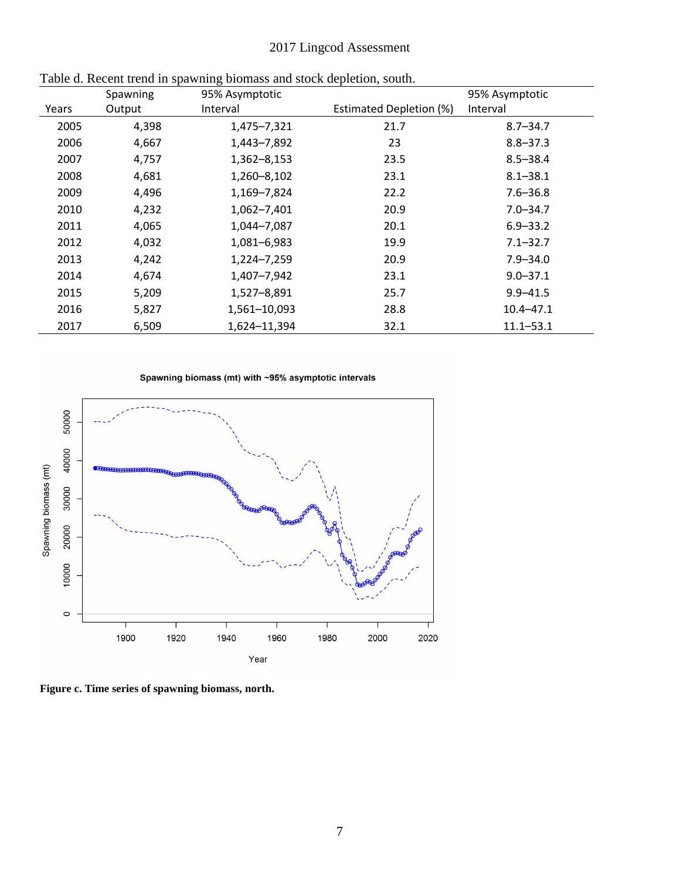|       | Spawning | 95% Asymptotic |                                | 95% Asymptotic |
|-------|----------|----------------|--------------------------------|----------------|
| Years | Output   | Interval       | <b>Estimated Depletion (%)</b> | Interval       |
| 2005  | 4,398    | 1,475-7,321    | 21.7                           | $8.7 - 34.7$   |
| 2006  | 4,667    | 1,443-7,892    | 23                             | $8.8 - 37.3$   |
| 2007  | 4,757    | 1,362-8,153    | 23.5                           | $8.5 - 38.4$   |
| 2008  | 4,681    | 1,260-8,102    | 23.1                           | $8.1 - 38.1$   |
| 2009  | 4,496    | 1,169-7,824    | 22.2                           | $7.6 - 36.8$   |
| 2010  | 4,232    | 1,062-7,401    | 20.9                           | $7.0 - 34.7$   |
| 2011  | 4,065    | 1,044-7,087    | 20.1                           | $6.9 - 33.2$   |
| 2012  | 4,032    | 1,081-6,983    | 19.9                           | $7.1 - 32.7$   |
| 2013  | 4,242    | 1,224-7,259    | 20.9                           | $7.9 - 34.0$   |
| 2014  | 4,674    | 1,407-7,942    | 23.1                           | $9.0 - 37.1$   |
| 2015  | 5,209    | 1,527-8,891    | 25.7                           | $9.9 - 41.5$   |
| 2016  | 5,827    | 1,561-10,093   | 28.8                           | $10.4 - 47.1$  |
| 2017  | 6,509    | 1,624-11,394   | 32.1                           | $11.1 - 53.1$  |

Table d. Recent trend in spawning biomass and stock depletion, south.





**Figure c. Time series of spawning biomass, north.**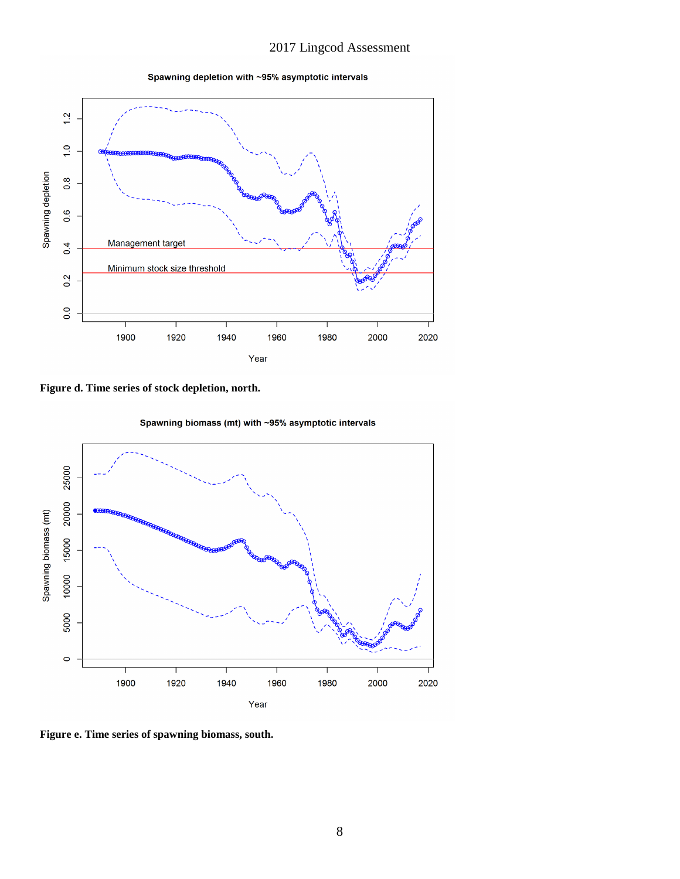Spawning depletion with ~95% asymptotic intervals



**Figure d. Time series of stock depletion, north.**

Spawning biomass (mt) with ~95% asymptotic intervals



**Figure e. Time series of spawning biomass, south.**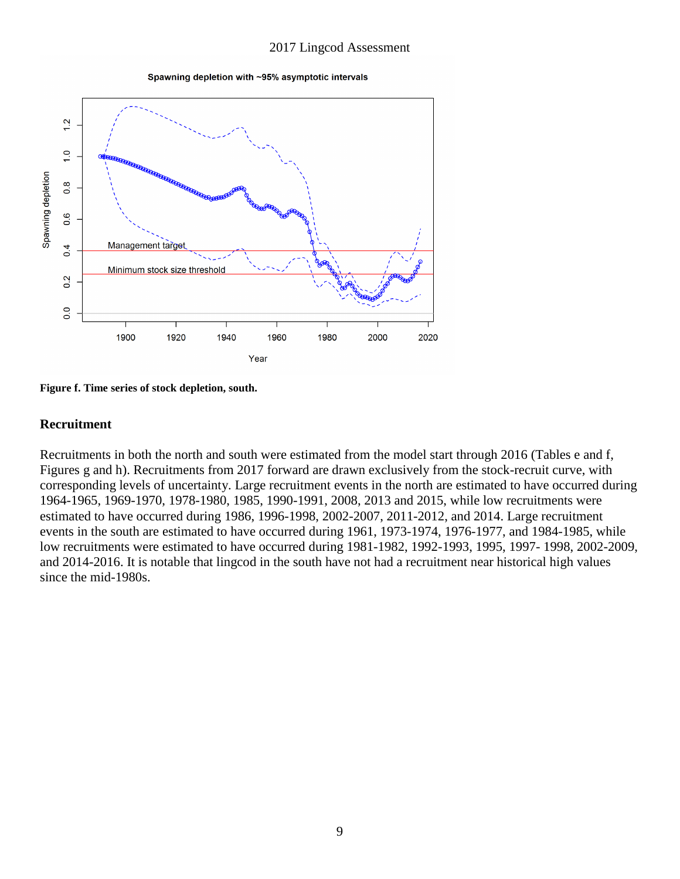Spawning depletion with ~95% asymptotic intervals



**Figure f. Time series of stock depletion, south.**

#### **Recruitment**

Recruitments in both the north and south were estimated from the model start through 2016 (Tables e and f, Figures g and h). Recruitments from 2017 forward are drawn exclusively from the stock-recruit curve, with corresponding levels of uncertainty. Large recruitment events in the north are estimated to have occurred during 1964-1965, 1969-1970, 1978-1980, 1985, 1990-1991, 2008, 2013 and 2015, while low recruitments were estimated to have occurred during 1986, 1996-1998, 2002-2007, 2011-2012, and 2014. Large recruitment events in the south are estimated to have occurred during 1961, 1973-1974, 1976-1977, and 1984-1985, while low recruitments were estimated to have occurred during 1981-1982, 1992-1993, 1995, 1997- 1998, 2002-2009, and 2014-2016. It is notable that lingcod in the south have not had a recruitment near historical high values since the mid-1980s.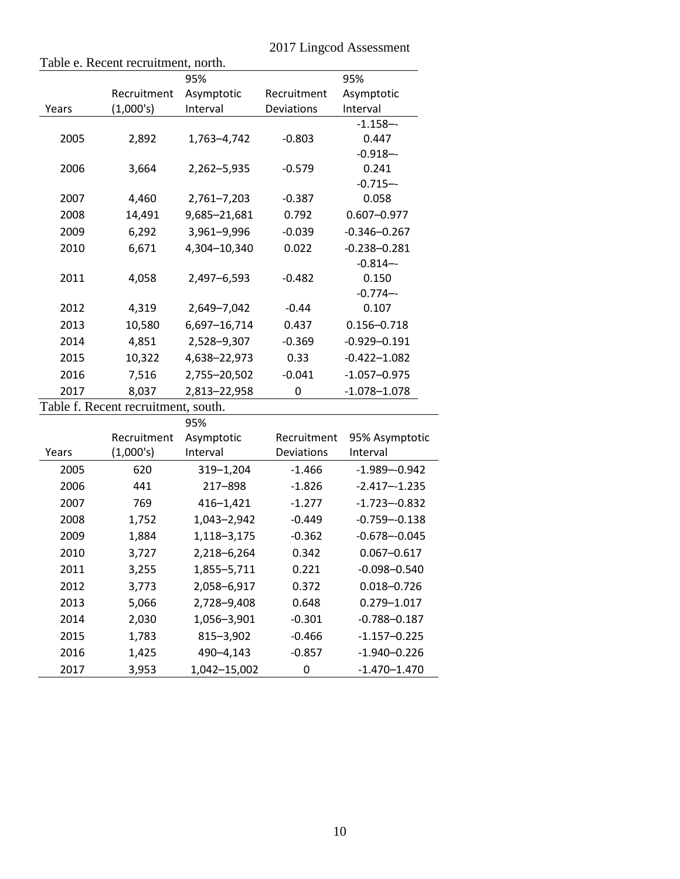|                          |                                                                                                                                   |                                                                                                                                                                                                                                                                                 | $\omega$ . $\mu$ $\mu$ $\mu$ $\mu$ $\omega$ $\mu$ $\mu$ $\mu$                                                                                      |
|--------------------------|-----------------------------------------------------------------------------------------------------------------------------------|---------------------------------------------------------------------------------------------------------------------------------------------------------------------------------------------------------------------------------------------------------------------------------|----------------------------------------------------------------------------------------------------------------------------------------------------|
|                          | 95%                                                                                                                               |                                                                                                                                                                                                                                                                                 | 95%                                                                                                                                                |
| Recruitment<br>(1,000's) | Asymptotic<br>Interval                                                                                                            | Recruitment<br>Deviations                                                                                                                                                                                                                                                       | Asymptotic<br>Interval                                                                                                                             |
|                          |                                                                                                                                   |                                                                                                                                                                                                                                                                                 | $-1.158 - -$                                                                                                                                       |
| 2,892                    | 1,763-4,742                                                                                                                       | $-0.803$                                                                                                                                                                                                                                                                        | 0.447                                                                                                                                              |
|                          |                                                                                                                                   |                                                                                                                                                                                                                                                                                 | $-0.918 - -$                                                                                                                                       |
| 3,664                    | 2,262-5,935                                                                                                                       | $-0.579$                                                                                                                                                                                                                                                                        | 0.241                                                                                                                                              |
|                          |                                                                                                                                   |                                                                                                                                                                                                                                                                                 | $-0.715 - -$                                                                                                                                       |
|                          |                                                                                                                                   |                                                                                                                                                                                                                                                                                 | 0.058                                                                                                                                              |
|                          |                                                                                                                                   |                                                                                                                                                                                                                                                                                 | $0.607 - 0.977$                                                                                                                                    |
|                          |                                                                                                                                   |                                                                                                                                                                                                                                                                                 | $-0.346 - 0.267$                                                                                                                                   |
| 6,671                    | 4,304-10,340                                                                                                                      | 0.022                                                                                                                                                                                                                                                                           | $-0.238 - 0.281$                                                                                                                                   |
|                          |                                                                                                                                   |                                                                                                                                                                                                                                                                                 | $-0.814-$                                                                                                                                          |
|                          |                                                                                                                                   |                                                                                                                                                                                                                                                                                 | 0.150                                                                                                                                              |
|                          |                                                                                                                                   |                                                                                                                                                                                                                                                                                 | $-0.774-$                                                                                                                                          |
|                          |                                                                                                                                   |                                                                                                                                                                                                                                                                                 | 0.107                                                                                                                                              |
|                          |                                                                                                                                   |                                                                                                                                                                                                                                                                                 | $0.156 - 0.718$                                                                                                                                    |
|                          |                                                                                                                                   |                                                                                                                                                                                                                                                                                 | $-0.929 - 0.191$                                                                                                                                   |
|                          |                                                                                                                                   |                                                                                                                                                                                                                                                                                 | $-0.422 - 1.082$                                                                                                                                   |
| 7,516                    | 2,755-20,502                                                                                                                      | $-0.041$                                                                                                                                                                                                                                                                        | $-1.057 - 0.975$                                                                                                                                   |
| 8,037                    | 2,813-22,958                                                                                                                      | 0                                                                                                                                                                                                                                                                               | $-1.078 - 1.078$                                                                                                                                   |
|                          |                                                                                                                                   |                                                                                                                                                                                                                                                                                 |                                                                                                                                                    |
|                          |                                                                                                                                   |                                                                                                                                                                                                                                                                                 |                                                                                                                                                    |
|                          |                                                                                                                                   |                                                                                                                                                                                                                                                                                 | 95% Asymptotic                                                                                                                                     |
|                          |                                                                                                                                   |                                                                                                                                                                                                                                                                                 | Interval                                                                                                                                           |
|                          |                                                                                                                                   |                                                                                                                                                                                                                                                                                 | $-1.989 - 0.942$                                                                                                                                   |
|                          |                                                                                                                                   |                                                                                                                                                                                                                                                                                 | $-2.417 - 1.235$                                                                                                                                   |
|                          |                                                                                                                                   |                                                                                                                                                                                                                                                                                 | $-1.723 - 0.832$                                                                                                                                   |
| 1,752                    | 1,043-2,942                                                                                                                       | $-0.449$                                                                                                                                                                                                                                                                        | $-0.759 - 0.138$                                                                                                                                   |
| 1,884                    | 1,118-3,175                                                                                                                       | $-0.362$                                                                                                                                                                                                                                                                        | $-0.678 - 0.045$                                                                                                                                   |
| 3,727                    | 2,218-6,264                                                                                                                       | 0.342                                                                                                                                                                                                                                                                           | $0.067 - 0.617$                                                                                                                                    |
| 3,255                    | 1,855-5,711                                                                                                                       | 0.221                                                                                                                                                                                                                                                                           | $-0.098 - 0.540$                                                                                                                                   |
| 3,773                    | 2,058-6,917                                                                                                                       | 0.372                                                                                                                                                                                                                                                                           | $0.018 - 0.726$                                                                                                                                    |
| 5,066                    | 2,728-9,408                                                                                                                       | 0.648                                                                                                                                                                                                                                                                           | $0.279 - 1.017$                                                                                                                                    |
| 2,030                    | 1,056-3,901                                                                                                                       | $-0.301$                                                                                                                                                                                                                                                                        | $-0.788 - 0.187$                                                                                                                                   |
| 1,783                    | $815 - 3,902$                                                                                                                     | $-0.466$                                                                                                                                                                                                                                                                        | $-1.157 - 0.225$                                                                                                                                   |
| 1,425                    | 490-4,143                                                                                                                         | $-0.857$                                                                                                                                                                                                                                                                        | $-1.940 - 0.226$                                                                                                                                   |
|                          | 1,042-15,002                                                                                                                      | 0                                                                                                                                                                                                                                                                               | $-1.470 - 1.470$                                                                                                                                   |
|                          | 4,460<br>14,491<br>6,292<br>4,058<br>4,319<br>10,580<br>4,851<br>10,322<br>Recruitment<br>(1,000's)<br>620<br>441<br>769<br>3,953 | Table e. Recent recruitment, north.<br>2,761-7,203<br>9,685-21,681<br>3,961-9,996<br>2,497-6,593<br>2,649-7,042<br>6,697-16,714<br>2,528-9,307<br>4,638-22,973<br>Table f. Recent recruitment, south.<br>95%<br>Asymptotic<br>Interval<br>319-1,204<br>217-898<br>$416 - 1,421$ | $-0.387$<br>0.792<br>$-0.039$<br>$-0.482$<br>$-0.44$<br>0.437<br>$-0.369$<br>0.33<br>Recruitment<br>Deviations<br>$-1.466$<br>$-1.826$<br>$-1.277$ |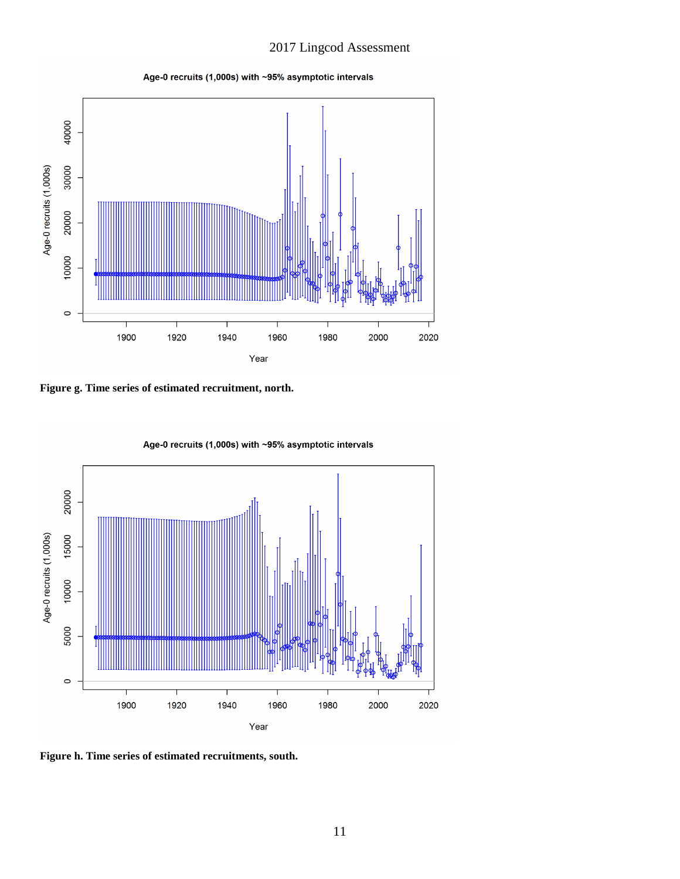Age-0 recruits (1,000s) with ~95% asymptotic intervals



**Figure g. Time series of estimated recruitment, north.**



Age-0 recruits (1,000s) with ~95% asymptotic intervals

**Figure h. Time series of estimated recruitments, south.**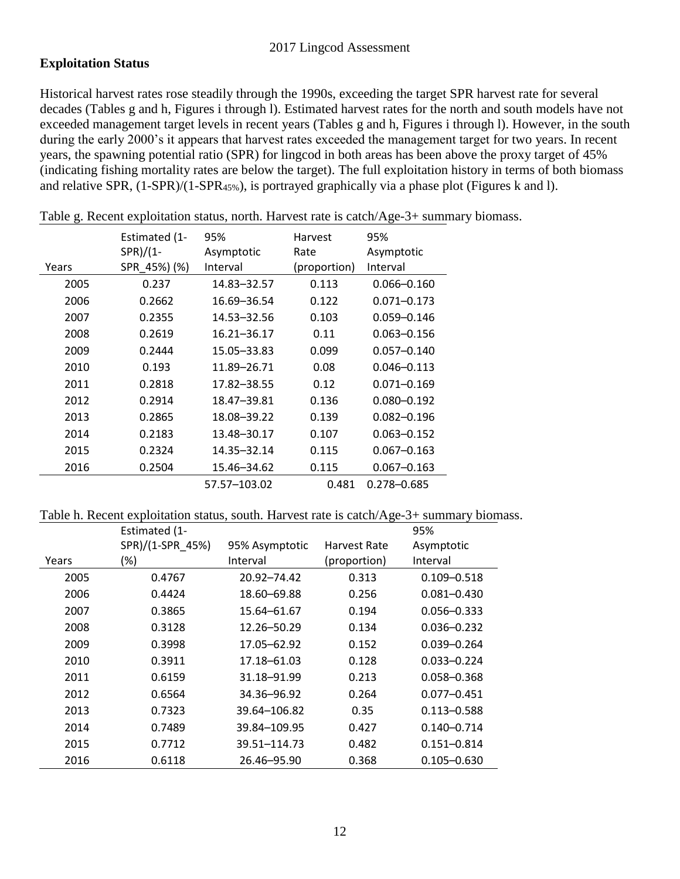### **Exploitation Status**

Historical harvest rates rose steadily through the 1990s, exceeding the target SPR harvest rate for several decades (Tables g and h, Figures i through l). Estimated harvest rates for the north and south models have not exceeded management target levels in recent years (Tables g and h, Figures i through l). However, in the south during the early 2000's it appears that harvest rates exceeded the management target for two years. In recent years, the spawning potential ratio (SPR) for lingcod in both areas has been above the proxy target of 45% (indicating fishing mortality rates are below the target). The full exploitation history in terms of both biomass and relative SPR, (1-SPR)/(1-SPR45%), is portrayed graphically via a phase plot (Figures k and l).

|       | Estimated (1- | 95%<br>Harvest |              | 95%             |
|-------|---------------|----------------|--------------|-----------------|
|       | $SPR)/(1-$    | Asymptotic     | Rate         | Asymptotic      |
| Years | SPR 45%) (%)  | Interval       | (proportion) | Interval        |
| 2005  | 0.237         | 14.83-32.57    | 0.113        | $0.066 - 0.160$ |
| 2006  | 0.2662        | 16.69-36.54    | 0.122        | $0.071 - 0.173$ |
| 2007  | 0.2355        | 14.53-32.56    | 0.103        | $0.059 - 0.146$ |
| 2008  | 0.2619        | 16.21-36.17    | 0.11         | $0.063 - 0.156$ |
| 2009  | 0.2444        | 15.05-33.83    | 0.099        | $0.057 - 0.140$ |
| 2010  | 0.193         | 11.89-26.71    | 0.08         | $0.046 - 0.113$ |
| 2011  | 0.2818        | 17.82-38.55    | 0.12         | $0.071 - 0.169$ |
| 2012  | 0.2914        | 18.47-39.81    | 0.136        | $0.080 - 0.192$ |
| 2013  | 0.2865        | 18.08-39.22    | 0.139        | $0.082 - 0.196$ |
| 2014  | 0.2183        | 13.48-30.17    | 0.107        | $0.063 - 0.152$ |
| 2015  | 0.2324        | 14.35 - 32.14  | 0.115        | $0.067 - 0.163$ |
| 2016  | 0.2504        | 15.46-34.62    | 0.115        | $0.067 - 0.163$ |
|       |               | 57.57-103.02   | 0.481        | 0.278-0.685     |

Table g. Recent exploitation status, north. Harvest rate is catch/Age-3+ summary biomass.

#### Table h. Recent exploitation status, south. Harvest rate is catch/Age-3+ summary biomass.

|       | Estimated (1-    |                |              | 95%             |
|-------|------------------|----------------|--------------|-----------------|
|       | SPR)/(1-SPR 45%) | 95% Asymptotic | Harvest Rate | Asymptotic      |
| Years | (%)              | Interval       | (proportion) | Interval        |
| 2005  | 0.4767           | 20.92-74.42    | 0.313        | $0.109 - 0.518$ |
| 2006  | 0.4424           | 18.60-69.88    | 0.256        | $0.081 - 0.430$ |
| 2007  | 0.3865           | 15.64-61.67    | 0.194        | $0.056 - 0.333$ |
| 2008  | 0.3128           | 12.26-50.29    | 0.134        | $0.036 - 0.232$ |
| 2009  | 0.3998           | 17.05-62.92    | 0.152        | $0.039 - 0.264$ |
| 2010  | 0.3911           | 17.18-61.03    | 0.128        | $0.033 - 0.224$ |
| 2011  | 0.6159           | 31.18-91.99    | 0.213        | $0.058 - 0.368$ |
| 2012  | 0.6564           | 34.36-96.92    | 0.264        | $0.077 - 0.451$ |
| 2013  | 0.7323           | 39.64-106.82   | 0.35         | $0.113 - 0.588$ |
| 2014  | 0.7489           | 39.84-109.95   | 0.427        | $0.140 - 0.714$ |
| 2015  | 0.7712           | 39.51-114.73   | 0.482        | $0.151 - 0.814$ |
| 2016  | 0.6118           | 26.46-95.90    | 0.368        | $0.105 - 0.630$ |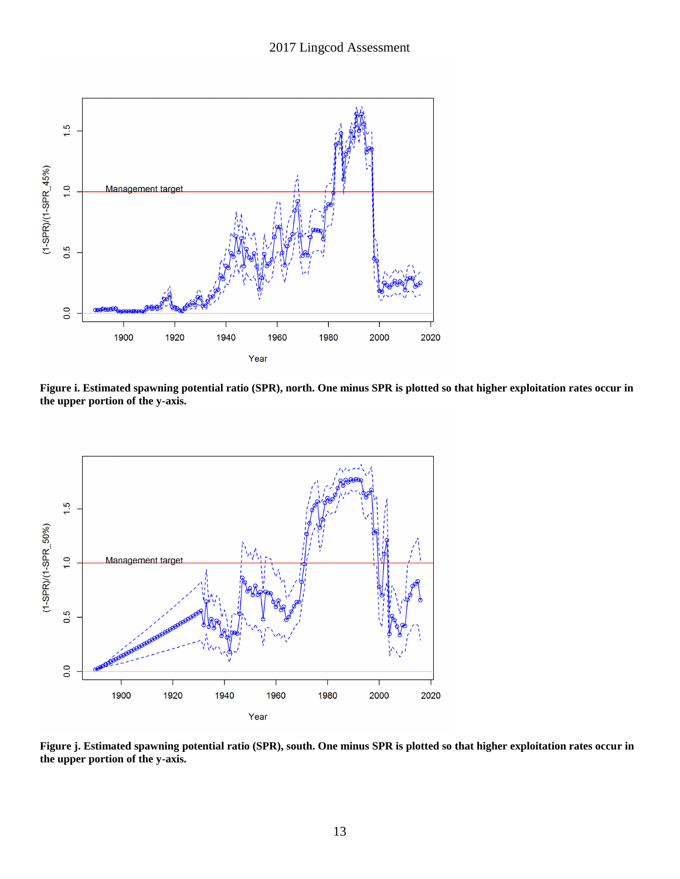

**Figure i. Estimated spawning potential ratio (SPR), north. One minus SPR is plotted so that higher exploitation rates occur in the upper portion of the y-axis.**



**Figure j. Estimated spawning potential ratio (SPR), south. One minus SPR is plotted so that higher exploitation rates occur in the upper portion of the y-axis.**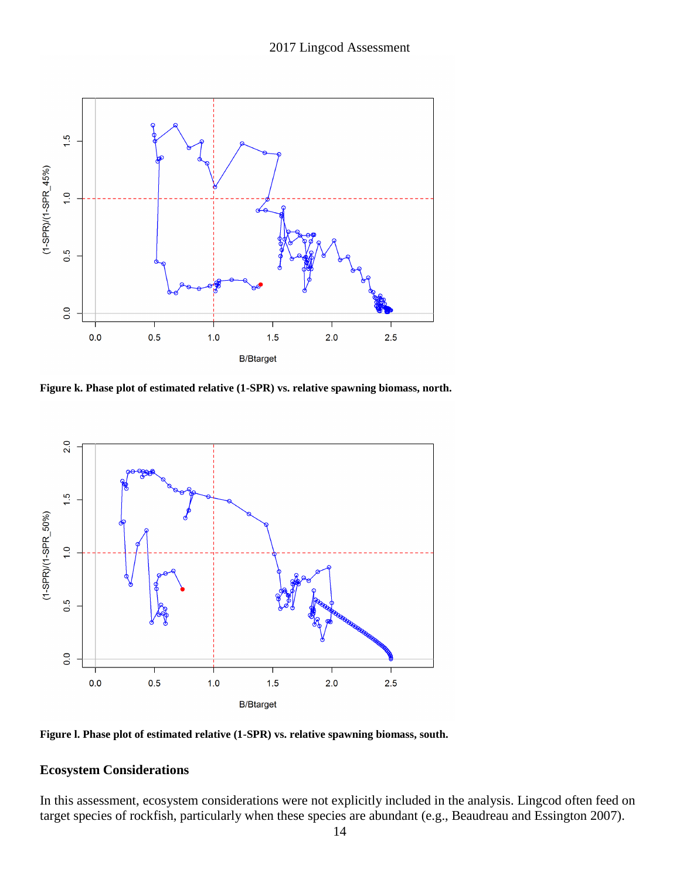

**Figure k. Phase plot of estimated relative (1-SPR) vs. relative spawning biomass, north.**



**Figure l. Phase plot of estimated relative (1-SPR) vs. relative spawning biomass, south.**

# **Ecosystem Considerations**

In this assessment, ecosystem considerations were not explicitly included in the analysis. Lingcod often feed on target species of rockfish, particularly when these species are abundant (e.g., Beaudreau and Essington 2007).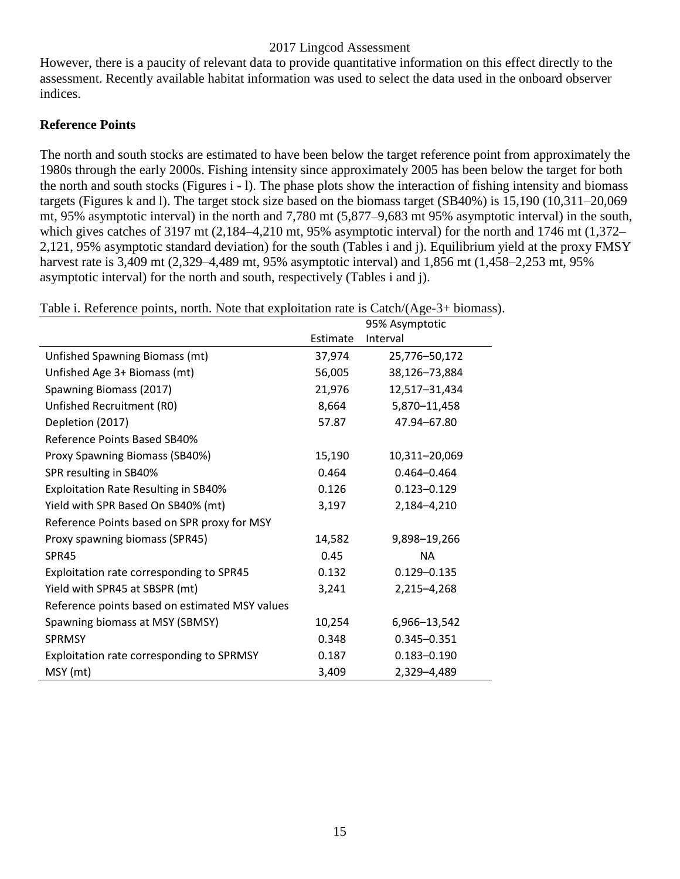However, there is a paucity of relevant data to provide quantitative information on this effect directly to the assessment. Recently available habitat information was used to select the data used in the onboard observer indices.

### **Reference Points**

The north and south stocks are estimated to have been below the target reference point from approximately the 1980s through the early 2000s. Fishing intensity since approximately 2005 has been below the target for both the north and south stocks (Figures i - l). The phase plots show the interaction of fishing intensity and biomass targets (Figures k and l). The target stock size based on the biomass target (SB40%) is 15,190 (10,311–20,069 mt, 95% asymptotic interval) in the north and 7,780 mt (5,877–9,683 mt 95% asymptotic interval) in the south, which gives catches of 3197 mt (2,184–4,210 mt, 95% asymptotic interval) for the north and 1746 mt (1,372– 2,121, 95% asymptotic standard deviation) for the south (Tables i and j). Equilibrium yield at the proxy FMSY harvest rate is 3,409 mt (2,329–4,489 mt, 95% asymptotic interval) and 1,856 mt (1,458–2,253 mt, 95% asymptotic interval) for the north and south, respectively (Tables i and j).

| Table i. Reference points, north. Note that exploitation rate is Catch/(Age-3+ biomass |          |                 |
|----------------------------------------------------------------------------------------|----------|-----------------|
|                                                                                        |          | 95% Asymptotic  |
|                                                                                        | Estimate | Interval        |
| Unfished Spawning Biomass (mt)                                                         | 37,974   | 25,776-50,172   |
| Unfished Age 3+ Biomass (mt)                                                           | 56,005   | 38,126-73,884   |
| Spawning Biomass (2017)                                                                | 21,976   | 12,517-31,434   |
| Unfished Recruitment (R0)                                                              | 8,664    | 5,870-11,458    |
| Depletion (2017)                                                                       | 57.87    | 47.94-67.80     |
| Reference Points Based SB40%                                                           |          |                 |
| Proxy Spawning Biomass (SB40%)                                                         | 15,190   | 10,311-20,069   |
| SPR resulting in SB40%                                                                 | 0.464    | $0.464 - 0.464$ |
| <b>Exploitation Rate Resulting in SB40%</b>                                            | 0.126    | $0.123 - 0.129$ |
| Yield with SPR Based On SB40% (mt)                                                     | 3,197    | 2,184-4,210     |
| Reference Points based on SPR proxy for MSY                                            |          |                 |
| Proxy spawning biomass (SPR45)                                                         | 14,582   | 9,898-19,266    |
| SPR45                                                                                  | 0.45     | <b>NA</b>       |
| Exploitation rate corresponding to SPR45                                               | 0.132    | $0.129 - 0.135$ |
| Yield with SPR45 at SBSPR (mt)                                                         | 3,241    | 2,215-4,268     |
| Reference points based on estimated MSY values                                         |          |                 |
| Spawning biomass at MSY (SBMSY)                                                        | 10,254   | 6,966-13,542    |
| <b>SPRMSY</b>                                                                          | 0.348    | $0.345 - 0.351$ |
| Exploitation rate corresponding to SPRMSY                                              | 0.187    | $0.183 - 0.190$ |
| MSY (mt)                                                                               | 3,409    | 2,329-4,489     |

Table i. Reference points, north. Note that exploitation rate is Catch/(Age-3+ biomass).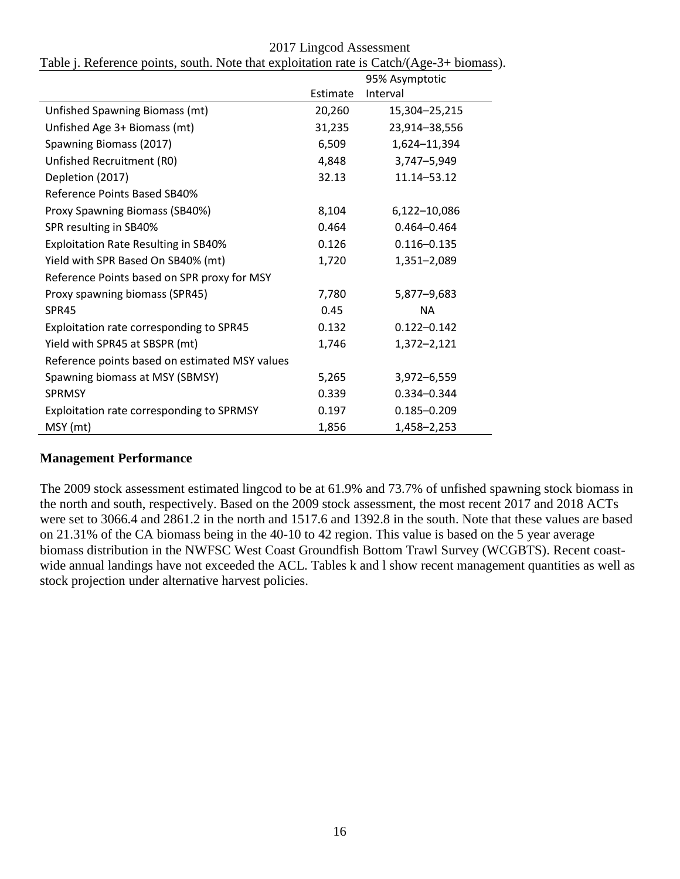|                                                |          | 95% Asymptotic  |
|------------------------------------------------|----------|-----------------|
|                                                | Estimate | Interval        |
| Unfished Spawning Biomass (mt)                 | 20,260   | 15,304-25,215   |
| Unfished Age 3+ Biomass (mt)                   | 31,235   | 23,914-38,556   |
| Spawning Biomass (2017)                        | 6,509    | 1,624-11,394    |
| Unfished Recruitment (R0)                      | 4,848    | 3,747-5,949     |
| Depletion (2017)                               | 32.13    | 11.14-53.12     |
| Reference Points Based SB40%                   |          |                 |
| Proxy Spawning Biomass (SB40%)                 | 8,104    | 6,122-10,086    |
| SPR resulting in SB40%                         | 0.464    | $0.464 - 0.464$ |
| <b>Exploitation Rate Resulting in SB40%</b>    | 0.126    | $0.116 - 0.135$ |
| Yield with SPR Based On SB40% (mt)             | 1,720    | 1,351-2,089     |
| Reference Points based on SPR proxy for MSY    |          |                 |
| Proxy spawning biomass (SPR45)                 | 7,780    | 5,877-9,683     |
| <b>SPR45</b>                                   | 0.45     | <b>NA</b>       |
| Exploitation rate corresponding to SPR45       | 0.132    | $0.122 - 0.142$ |
| Yield with SPR45 at SBSPR (mt)                 | 1,746    | 1,372-2,121     |
| Reference points based on estimated MSY values |          |                 |
| Spawning biomass at MSY (SBMSY)                | 5,265    | 3,972-6,559     |
| <b>SPRMSY</b>                                  | 0.339    | 0.334-0.344     |
| Exploitation rate corresponding to SPRMSY      | 0.197    | $0.185 - 0.209$ |
| MSY (mt)                                       | 1,856    | 1,458-2,253     |

2017 Lingcod Assessment Table j. Reference points, south. Note that exploitation rate is Catch/(Age-3+ biomass).

### **Management Performance**

The 2009 stock assessment estimated lingcod to be at 61.9% and 73.7% of unfished spawning stock biomass in the north and south, respectively. Based on the 2009 stock assessment, the most recent 2017 and 2018 ACTs were set to 3066.4 and 2861.2 in the north and 1517.6 and 1392.8 in the south. Note that these values are based on 21.31% of the CA biomass being in the 40-10 to 42 region. This value is based on the 5 year average biomass distribution in the NWFSC West Coast Groundfish Bottom Trawl Survey (WCGBTS). Recent coastwide annual landings have not exceeded the ACL. Tables k and l show recent management quantities as well as stock projection under alternative harvest policies.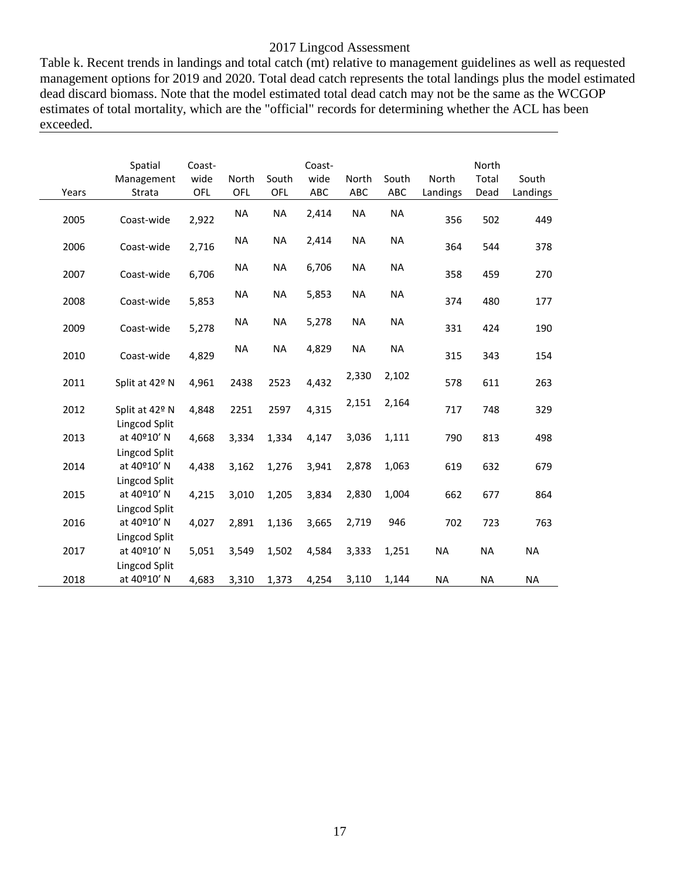Table k. Recent trends in landings and total catch (mt) relative to management guidelines as well as requested management options for 2019 and 2020. Total dead catch represents the total landings plus the model estimated dead discard biomass. Note that the model estimated total dead catch may not be the same as the WCGOP estimates of total mortality, which are the "official" records for determining whether the ACL has been exceeded.

| Years | Spatial<br>Management<br>Strata               | Coast-<br>wide<br>OFL | North<br><b>OFL</b> | South<br><b>OFL</b> | Coast-<br>wide<br>ABC | <b>North</b><br><b>ABC</b> | South<br>ABC | North<br>Landings | North<br>Total<br>Dead | South<br>Landings |
|-------|-----------------------------------------------|-----------------------|---------------------|---------------------|-----------------------|----------------------------|--------------|-------------------|------------------------|-------------------|
| 2005  | Coast-wide                                    | 2,922                 | <b>NA</b>           | <b>NA</b>           | 2,414                 | <b>NA</b>                  | <b>NA</b>    | 356               | 502                    | 449               |
| 2006  | Coast-wide                                    | 2,716                 | <b>NA</b>           | <b>NA</b>           | 2,414                 | <b>NA</b>                  | <b>NA</b>    | 364               | 544                    | 378               |
| 2007  | Coast-wide                                    | 6,706                 | <b>NA</b>           | <b>NA</b>           | 6,706                 | <b>NA</b>                  | <b>NA</b>    | 358               | 459                    | 270               |
| 2008  | Coast-wide                                    | 5,853                 | <b>NA</b>           | <b>NA</b>           | 5,853                 | <b>NA</b>                  | <b>NA</b>    | 374               | 480                    | 177               |
| 2009  | Coast-wide                                    | 5,278                 | <b>NA</b>           | <b>NA</b>           | 5,278                 | <b>NA</b>                  | <b>NA</b>    | 331               | 424                    | 190               |
| 2010  | Coast-wide                                    | 4,829                 | <b>NA</b>           | <b>NA</b>           | 4,829                 | <b>NA</b>                  | <b>NA</b>    | 315               | 343                    | 154               |
| 2011  | Split at 42º N                                | 4,961                 | 2438                | 2523                | 4,432                 | 2,330                      | 2,102        | 578               | 611                    | 263               |
| 2012  | Split at 42º N<br>Lingcod Split               | 4,848                 | 2251                | 2597                | 4,315                 | 2,151                      | 2,164        | 717               | 748                    | 329               |
| 2013  | at 40°10' N                                   | 4,668                 | 3,334               | 1,334               | 4,147                 | 3,036                      | 1,111        | 790               | 813                    | 498               |
| 2014  | Lingcod Split<br>at 40°10' N<br>Lingcod Split | 4,438                 | 3,162               | 1,276               | 3,941                 | 2,878                      | 1,063        | 619               | 632                    | 679               |
| 2015  | at 40°10' N                                   | 4,215                 | 3,010               | 1,205               | 3,834                 | 2,830                      | 1,004        | 662               | 677                    | 864               |
| 2016  | Lingcod Split<br>at 40°10' N                  | 4,027                 | 2,891               | 1,136               | 3,665                 | 2,719                      | 946          | 702               | 723                    | 763               |
| 2017  | Lingcod Split<br>at 40°10' N                  | 5,051                 | 3,549               | 1,502               | 4,584                 | 3,333                      | 1,251        | <b>NA</b>         | <b>NA</b>              | <b>NA</b>         |
| 2018  | Lingcod Split<br>at 40°10' N                  | 4,683                 | 3,310               | 1,373               | 4,254                 | 3,110                      | 1,144        | <b>NA</b>         | <b>NA</b>              | <b>NA</b>         |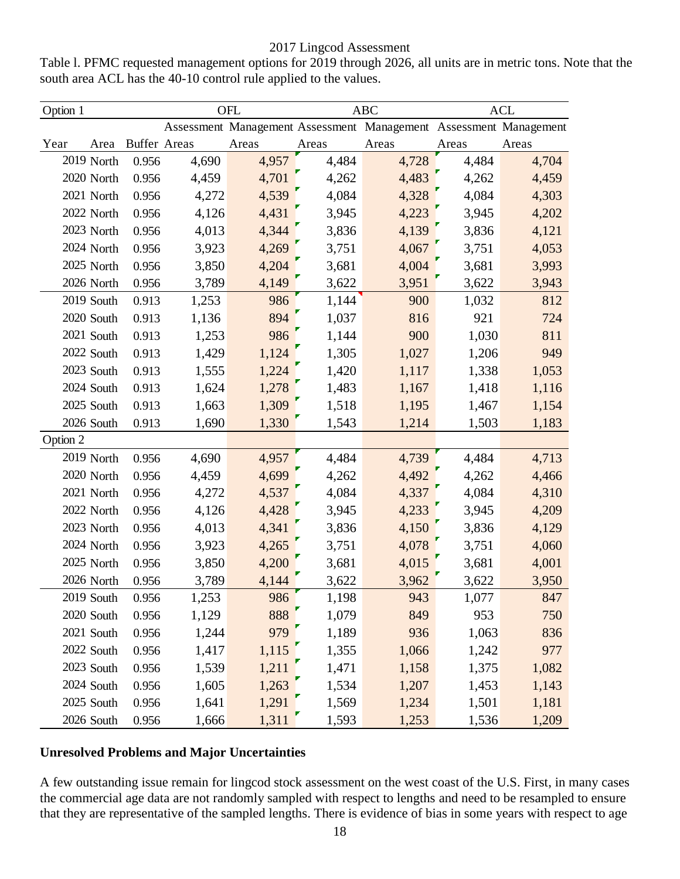Table l. PFMC requested management options for 2019 through 2026, all units are in metric tons. Note that the south area ACL has the 40-10 control rule applied to the values.

| Option 1 |            | OFL                 |       |       |       | <b>ABC</b>                                                        | <b>ACL</b> |       |
|----------|------------|---------------------|-------|-------|-------|-------------------------------------------------------------------|------------|-------|
|          |            |                     |       |       |       | Assessment Management Assessment Management Assessment Management |            |       |
| Year     | Area       | <b>Buffer Areas</b> |       | Areas | Areas | Areas                                                             | Areas      | Areas |
|          | 2019 North | 0.956               | 4,690 | 4,957 | 4,484 | 4,728                                                             | 4,484      | 4,704 |
|          | 2020 North | 0.956               | 4,459 | 4,701 | 4,262 | 4,483                                                             | 4,262      | 4,459 |
|          | 2021 North | 0.956               | 4,272 | 4,539 | 4,084 | 4,328                                                             | 4,084      | 4,303 |
|          | 2022 North | 0.956               | 4,126 | 4,431 | 3,945 | 4,223                                                             | 3,945      | 4,202 |
|          | 2023 North | 0.956               | 4,013 | 4,344 | 3,836 | 4,139                                                             | 3,836      | 4,121 |
|          | 2024 North | 0.956               | 3,923 | 4,269 | 3,751 | 4,067                                                             | 3,751      | 4,053 |
|          | 2025 North | 0.956               | 3,850 | 4,204 | 3,681 | 4,004                                                             | 3,681      | 3,993 |
|          | 2026 North | 0.956               | 3,789 | 4,149 | 3,622 | 3,951                                                             | 3,622      | 3,943 |
|          | 2019 South | 0.913               | 1,253 | 986   | 1,144 | 900                                                               | 1,032      | 812   |
|          | 2020 South | 0.913               | 1,136 | 894   | 1,037 | 816                                                               | 921        | 724   |
|          | 2021 South | 0.913               | 1,253 | 986   | 1,144 | 900                                                               | 1,030      | 811   |
|          | 2022 South | 0.913               | 1,429 | 1,124 | 1,305 | 1,027                                                             | 1,206      | 949   |
|          | 2023 South | 0.913               | 1,555 | 1,224 | 1,420 | 1,117                                                             | 1,338      | 1,053 |
|          | 2024 South | 0.913               | 1,624 | 1,278 | 1,483 | 1,167                                                             | 1,418      | 1,116 |
|          | 2025 South | 0.913               | 1,663 | 1,309 | 1,518 | 1,195                                                             | 1,467      | 1,154 |
|          | 2026 South | 0.913               | 1,690 | 1,330 | 1,543 | 1,214                                                             | 1,503      | 1,183 |
| Option 2 |            |                     |       |       |       |                                                                   |            |       |
|          | 2019 North | 0.956               | 4,690 | 4,957 | 4,484 | 4,739                                                             | 4,484      | 4,713 |
|          | 2020 North | 0.956               | 4,459 | 4,699 | 4,262 | 4,492                                                             | 4,262      | 4,466 |
|          | 2021 North | 0.956               | 4,272 | 4,537 | 4,084 | 4,337                                                             | 4,084      | 4,310 |
|          | 2022 North | 0.956               | 4,126 | 4,428 | 3,945 | 4,233                                                             | 3,945      | 4,209 |
|          | 2023 North | 0.956               | 4,013 | 4,341 | 3,836 | 4,150                                                             | 3,836      | 4,129 |
|          | 2024 North | 0.956               | 3,923 | 4,265 | 3,751 | 4,078                                                             | 3,751      | 4,060 |
|          | 2025 North | 0.956               | 3,850 | 4,200 | 3,681 | 4,015                                                             | 3,681      | 4,001 |
|          | 2026 North | 0.956               | 3,789 | 4,144 | 3,622 | 3,962                                                             | 3,622      | 3,950 |
|          | 2019 South | 0.956               | 1,253 | 986   | 1,198 | 943                                                               | 1,077      | 847   |
|          | 2020 South | 0.956               | 1,129 | 888   | 1,079 | 849                                                               | 953        | 750   |
|          | 2021 South | 0.956               | 1,244 | 979   | 1,189 | 936                                                               | 1,063      | 836   |
|          | 2022 South | 0.956               | 1,417 | 1,115 | 1,355 | 1,066                                                             | 1,242      | 977   |
|          | 2023 South | 0.956               | 1,539 | 1,211 | 1,471 | 1,158                                                             | 1,375      | 1,082 |
|          | 2024 South | 0.956               | 1,605 | 1,263 | 1,534 | 1,207                                                             | 1,453      | 1,143 |
|          | 2025 South | 0.956               | 1,641 | 1,291 | 1,569 | 1,234                                                             | 1,501      | 1,181 |
|          | 2026 South | 0.956               | 1,666 | 1,311 | 1,593 | 1,253                                                             | 1,536      | 1,209 |

### **Unresolved Problems and Major Uncertainties**

A few outstanding issue remain for lingcod stock assessment on the west coast of the U.S. First, in many cases the commercial age data are not randomly sampled with respect to lengths and need to be resampled to ensure that they are representative of the sampled lengths. There is evidence of bias in some years with respect to age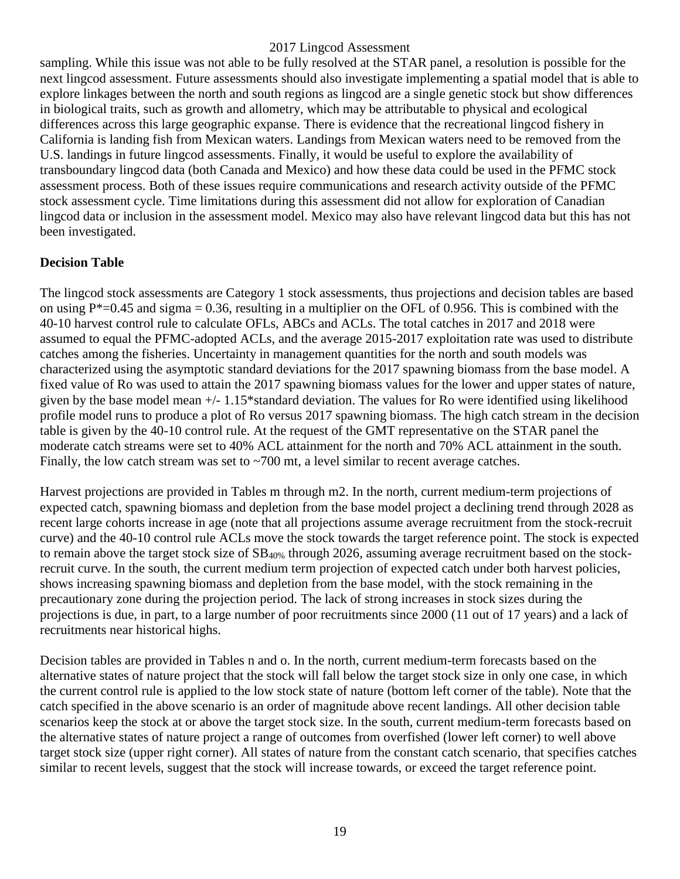sampling. While this issue was not able to be fully resolved at the STAR panel, a resolution is possible for the next lingcod assessment. Future assessments should also investigate implementing a spatial model that is able to explore linkages between the north and south regions as lingcod are a single genetic stock but show differences in biological traits, such as growth and allometry, which may be attributable to physical and ecological differences across this large geographic expanse. There is evidence that the recreational lingcod fishery in California is landing fish from Mexican waters. Landings from Mexican waters need to be removed from the U.S. landings in future lingcod assessments. Finally, it would be useful to explore the availability of transboundary lingcod data (both Canada and Mexico) and how these data could be used in the PFMC stock assessment process. Both of these issues require communications and research activity outside of the PFMC stock assessment cycle. Time limitations during this assessment did not allow for exploration of Canadian lingcod data or inclusion in the assessment model. Mexico may also have relevant lingcod data but this has not been investigated.

### **Decision Table**

The lingcod stock assessments are Category 1 stock assessments, thus projections and decision tables are based on using  $P^*=0.45$  and sigma = 0.36, resulting in a multiplier on the OFL of 0.956. This is combined with the 40-10 harvest control rule to calculate OFLs, ABCs and ACLs. The total catches in 2017 and 2018 were assumed to equal the PFMC-adopted ACLs, and the average 2015-2017 exploitation rate was used to distribute catches among the fisheries. Uncertainty in management quantities for the north and south models was characterized using the asymptotic standard deviations for the 2017 spawning biomass from the base model. A fixed value of Ro was used to attain the 2017 spawning biomass values for the lower and upper states of nature, given by the base model mean +/- 1.15\*standard deviation. The values for Ro were identified using likelihood profile model runs to produce a plot of Ro versus 2017 spawning biomass. The high catch stream in the decision table is given by the 40-10 control rule. At the request of the GMT representative on the STAR panel the moderate catch streams were set to 40% ACL attainment for the north and 70% ACL attainment in the south. Finally, the low catch stream was set to  $\sim$  700 mt, a level similar to recent average catches.

Harvest projections are provided in Tables m through m2. In the north, current medium-term projections of expected catch, spawning biomass and depletion from the base model project a declining trend through 2028 as recent large cohorts increase in age (note that all projections assume average recruitment from the stock-recruit curve) and the 40-10 control rule ACLs move the stock towards the target reference point. The stock is expected to remain above the target stock size of  $SB<sub>40%</sub>$  through 2026, assuming average recruitment based on the stockrecruit curve. In the south, the current medium term projection of expected catch under both harvest policies, shows increasing spawning biomass and depletion from the base model, with the stock remaining in the precautionary zone during the projection period. The lack of strong increases in stock sizes during the projections is due, in part, to a large number of poor recruitments since 2000 (11 out of 17 years) and a lack of recruitments near historical highs.

Decision tables are provided in Tables n and o. In the north, current medium-term forecasts based on the alternative states of nature project that the stock will fall below the target stock size in only one case, in which the current control rule is applied to the low stock state of nature (bottom left corner of the table). Note that the catch specified in the above scenario is an order of magnitude above recent landings. All other decision table scenarios keep the stock at or above the target stock size. In the south, current medium-term forecasts based on the alternative states of nature project a range of outcomes from overfished (lower left corner) to well above target stock size (upper right corner). All states of nature from the constant catch scenario, that specifies catches similar to recent levels, suggest that the stock will increase towards, or exceed the target reference point.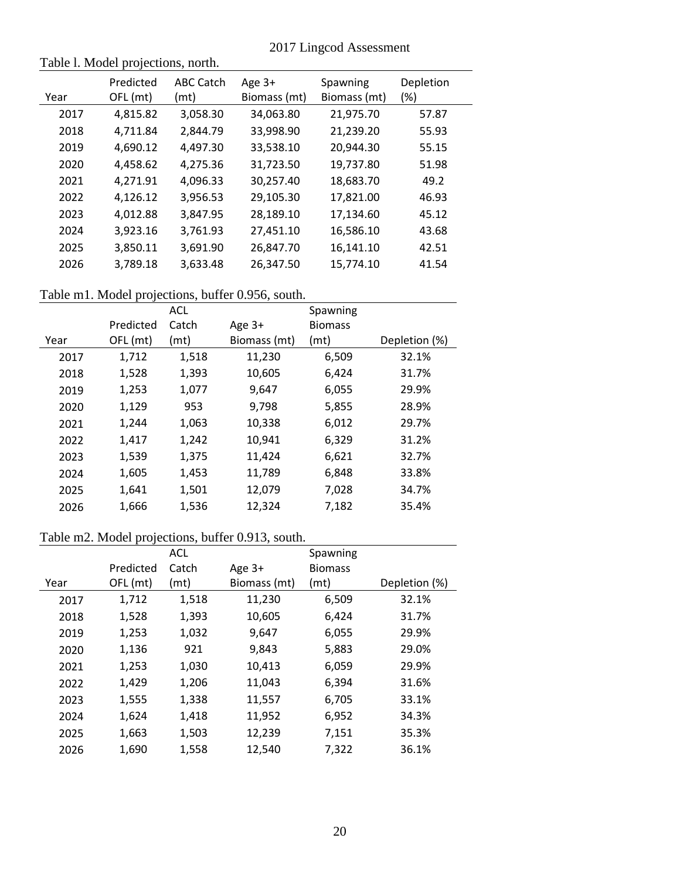|  |  | 2017 Lingcod Assessment |
|--|--|-------------------------|
|--|--|-------------------------|

# Table l. Model projections, north.

| Year | Predicted<br>OFL (mt) | ABC Catch<br>(mt) | Age $3+$<br>Biomass (mt) | Spawning<br>Biomass (mt) | Depletion<br>$(\%)$ |
|------|-----------------------|-------------------|--------------------------|--------------------------|---------------------|
| 2017 | 4,815.82              | 3,058.30          | 34,063.80                | 21,975.70                | 57.87               |
| 2018 | 4,711.84              | 2.844.79          | 33,998.90                | 21,239.20                | 55.93               |
| 2019 | 4,690.12              | 4,497.30          | 33,538.10                | 20,944.30                | 55.15               |
| 2020 | 4,458.62              | 4,275.36          | 31,723.50                | 19,737.80                | 51.98               |
| 2021 | 4,271.91              | 4,096.33          | 30,257.40                | 18,683.70                | 49.2                |
| 2022 | 4,126.12              | 3,956.53          | 29,105.30                | 17,821.00                | 46.93               |
| 2023 | 4,012.88              | 3,847.95          | 28,189.10                | 17,134.60                | 45.12               |
| 2024 | 3,923.16              | 3,761.93          | 27,451.10                | 16,586.10                | 43.68               |
| 2025 | 3,850.11              | 3,691.90          | 26,847.70                | 16,141.10                | 42.51               |
| 2026 | 3,789.18              | 3,633.48          | 26,347.50                | 15,774.10                | 41.54               |

# Table m1. Model projections, buffer 0.956, south.

|      |           | <b>ACL</b> |              | Spawning       |               |  |  |  |
|------|-----------|------------|--------------|----------------|---------------|--|--|--|
|      | Predicted | Catch      | Age $3+$     | <b>Biomass</b> |               |  |  |  |
| Year | OFL (mt)  | (mt)       | Biomass (mt) | (mt)           | Depletion (%) |  |  |  |
| 2017 | 1,712     | 1,518      | 11,230       | 6,509          | 32.1%         |  |  |  |
| 2018 | 1,528     | 1,393      | 10,605       | 6,424          | 31.7%         |  |  |  |
| 2019 | 1,253     | 1,077      | 9,647        | 6,055          | 29.9%         |  |  |  |
| 2020 | 1,129     | 953        | 9,798        | 5,855          | 28.9%         |  |  |  |
| 2021 | 1,244     | 1,063      | 10,338       | 6,012          | 29.7%         |  |  |  |
| 2022 | 1,417     | 1,242      | 10,941       | 6,329          | 31.2%         |  |  |  |
| 2023 | 1,539     | 1,375      | 11,424       | 6,621          | 32.7%         |  |  |  |
| 2024 | 1,605     | 1,453      | 11,789       | 6,848          | 33.8%         |  |  |  |
| 2025 | 1,641     | 1,501      | 12,079       | 7,028          | 34.7%         |  |  |  |
| 2026 | 1,666     | 1,536      | 12,324       | 7,182          | 35.4%         |  |  |  |
|      |           |            |              |                |               |  |  |  |

# Table m2. Model projections, buffer 0.913, south.

|      |           | <b>ACL</b> |              | Spawning       |               |
|------|-----------|------------|--------------|----------------|---------------|
|      | Predicted | Catch      | Age 3+       | <b>Biomass</b> |               |
| Year | OFL (mt)  | (mt)       | Biomass (mt) | (mt)           | Depletion (%) |
| 2017 | 1,712     | 1,518      | 11,230       | 6,509          | 32.1%         |
| 2018 | 1,528     | 1,393      | 10,605       | 6,424          | 31.7%         |
| 2019 | 1,253     | 1,032      | 9,647        | 6,055          | 29.9%         |
| 2020 | 1,136     | 921        | 9,843        | 5,883          | 29.0%         |
| 2021 | 1,253     | 1,030      | 10,413       | 6,059          | 29.9%         |
| 2022 | 1,429     | 1,206      | 11,043       | 6,394          | 31.6%         |
| 2023 | 1,555     | 1,338      | 11,557       | 6,705          | 33.1%         |
| 2024 | 1,624     | 1,418      | 11,952       | 6,952          | 34.3%         |
| 2025 | 1,663     | 1,503      | 12,239       | 7,151          | 35.3%         |
| 2026 | 1,690     | 1,558      | 12,540       | 7,322          | 36.1%         |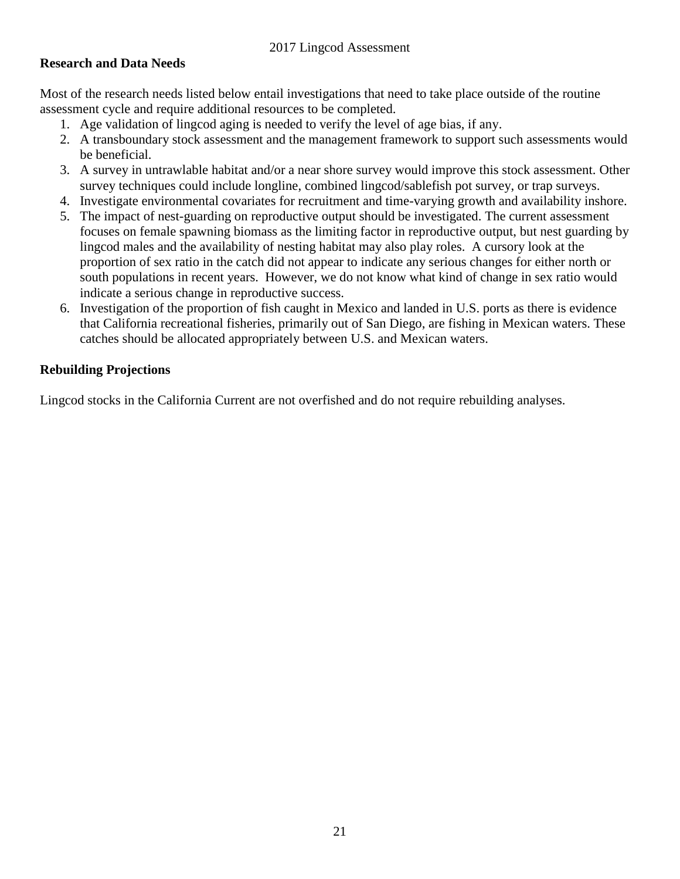#### **Research and Data Needs**

Most of the research needs listed below entail investigations that need to take place outside of the routine assessment cycle and require additional resources to be completed.

- 1. Age validation of lingcod aging is needed to verify the level of age bias, if any.
- 2. A transboundary stock assessment and the management framework to support such assessments would be beneficial.
- 3. A survey in untrawlable habitat and/or a near shore survey would improve this stock assessment. Other survey techniques could include longline, combined lingcod/sablefish pot survey, or trap surveys.
- 4. Investigate environmental covariates for recruitment and time-varying growth and availability inshore.
- 5. The impact of nest-guarding on reproductive output should be investigated. The current assessment focuses on female spawning biomass as the limiting factor in reproductive output, but nest guarding by lingcod males and the availability of nesting habitat may also play roles. A cursory look at the proportion of sex ratio in the catch did not appear to indicate any serious changes for either north or south populations in recent years. However, we do not know what kind of change in sex ratio would indicate a serious change in reproductive success.
- 6. Investigation of the proportion of fish caught in Mexico and landed in U.S. ports as there is evidence that California recreational fisheries, primarily out of San Diego, are fishing in Mexican waters. These catches should be allocated appropriately between U.S. and Mexican waters.

#### **Rebuilding Projections**

Lingcod stocks in the California Current are not overfished and do not require rebuilding analyses.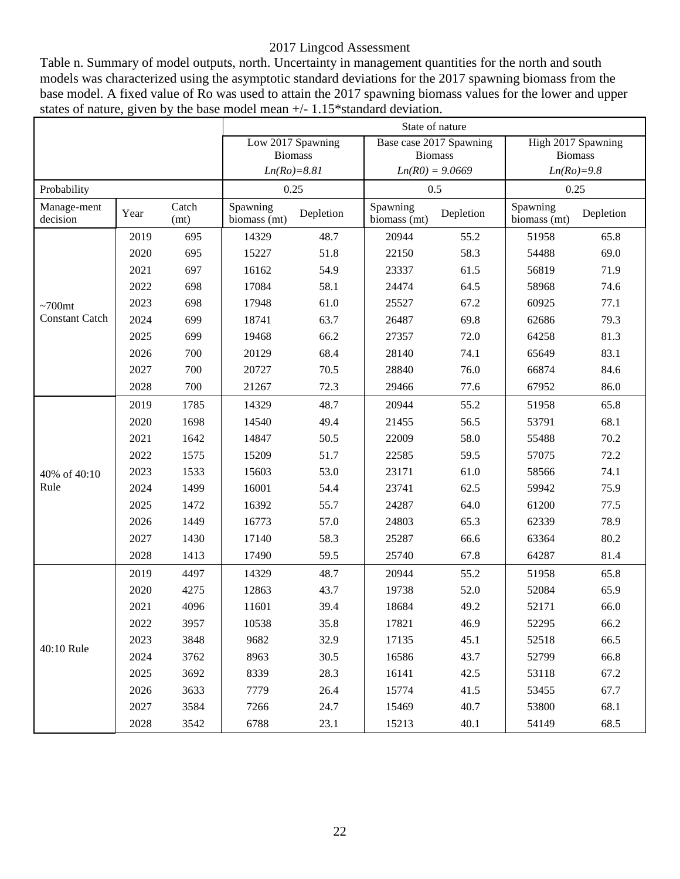Table n. Summary of model outputs, north. Uncertainty in management quantities for the north and south models was characterized using the asymptotic standard deviations for the 2017 spawning biomass from the base model. A fixed value of Ro was used to attain the 2017 spawning biomass values for the lower and upper states of nature, given by the base model mean +/- 1.15\*standard deviation.

|                         |      |               | State of nature          |                   |                          |           |                          |           |  |  |  |
|-------------------------|------|---------------|--------------------------|-------------------|--------------------------|-----------|--------------------------|-----------|--|--|--|
|                         |      |               |                          | Low 2017 Spawning | Base case 2017 Spawning  |           | High 2017 Spawning       |           |  |  |  |
|                         |      |               |                          | <b>Biomass</b>    | <b>Biomass</b>           |           | <b>Biomass</b>           |           |  |  |  |
|                         |      |               |                          | $Ln(Ro)=8.81$     | $Ln(R0) = 9.0669$        |           | $Ln(Ro)=9.8$             |           |  |  |  |
| Probability             |      |               |                          | 0.25              | 0.5                      |           | 0.25                     |           |  |  |  |
| Manage-ment<br>decision | Year | Catch<br>(mt) | Spawning<br>biomass (mt) | Depletion         | Spawning<br>biomass (mt) | Depletion | Spawning<br>biomass (mt) | Depletion |  |  |  |
|                         | 2019 | 695           | 14329                    | 48.7              | 20944                    | 55.2      | 51958                    | 65.8      |  |  |  |
|                         | 2020 | 695           | 15227                    | 51.8              | 22150                    | 58.3      | 54488                    | 69.0      |  |  |  |
|                         | 2021 | 697           | 16162                    | 54.9              | 23337                    | 61.5      | 56819                    | 71.9      |  |  |  |
|                         | 2022 | 698           | 17084                    | 58.1              | 24474                    | 64.5      | 58968                    | 74.6      |  |  |  |
| $~100$ mt               | 2023 | 698           | 17948                    | 61.0              | 25527                    | 67.2      | 60925                    | 77.1      |  |  |  |
| <b>Constant Catch</b>   | 2024 | 699           | 18741                    | 63.7              | 26487                    | 69.8      | 62686                    | 79.3      |  |  |  |
|                         | 2025 | 699           | 19468                    | 66.2              | 27357                    | 72.0      | 64258                    | 81.3      |  |  |  |
|                         | 2026 | 700           | 20129                    | 68.4              | 28140                    | 74.1      | 65649                    | 83.1      |  |  |  |
|                         | 2027 | 700           | 20727                    | 70.5              | 28840                    | 76.0      | 66874                    | 84.6      |  |  |  |
|                         | 2028 | 700           | 21267                    | 72.3              | 29466                    | 77.6      | 67952                    | 86.0      |  |  |  |
|                         | 2019 | 1785          | 14329                    | 48.7              | 20944<br>55.2            |           | 51958                    | 65.8      |  |  |  |
|                         | 2020 | 1698          | 14540                    | 49.4              | 56.5<br>21455            |           | 53791                    | 68.1      |  |  |  |
|                         | 2021 | 1642          | 14847                    | 50.5              | 22009                    | 58.0      |                          | 70.2      |  |  |  |
|                         | 2022 | 1575          | 15209                    | 51.7              | 22585                    | 59.5      | 57075                    | 72.2      |  |  |  |
| 40% of 40:10            | 2023 | 1533          | 15603                    | 53.0              | 23171                    | 61.0      | 58566                    | 74.1      |  |  |  |
| Rule                    | 2024 | 1499          | 16001                    | 54.4              | 23741                    | 62.5      | 59942                    | 75.9      |  |  |  |
|                         | 2025 | 1472          | 16392                    | 55.7              | 24287                    | 64.0      | 61200                    | 77.5      |  |  |  |
|                         | 2026 | 1449          | 16773                    | 57.0              | 24803                    | 65.3      | 62339                    | 78.9      |  |  |  |
|                         | 2027 | 1430          | 17140                    | 58.3              | 25287                    | 66.6      | 63364                    | 80.2      |  |  |  |
|                         | 2028 | 1413          | 17490                    | 59.5              | 25740                    | 67.8      | 64287                    | 81.4      |  |  |  |
|                         | 2019 | 4497          | 14329                    | 48.7              | 20944                    | 55.2      | 51958                    | 65.8      |  |  |  |
|                         | 2020 | 4275          | 12863                    | 43.7              | 19738                    | 52.0      | 52084                    | 65.9      |  |  |  |
|                         | 2021 | 4096          | 11601                    | 39.4              | 18684                    | 49.2      | 52171                    | 66.0      |  |  |  |
|                         | 2022 | 3957          | 10538                    | 35.8              | 17821                    | 46.9      | 52295                    | 66.2      |  |  |  |
|                         | 2023 | 3848          | 9682                     | 32.9              | 17135                    | 45.1      | 52518                    | 66.5      |  |  |  |
| 40:10 Rule              | 2024 | 3762          | 8963                     | 30.5              | 16586                    | 43.7      | 52799                    | 66.8      |  |  |  |
|                         | 2025 | 3692          | 8339                     | 28.3              | 16141                    | 42.5      | 53118                    | 67.2      |  |  |  |
|                         | 2026 | 3633          | 7779                     | 26.4              | 15774                    | 41.5      | 53455                    | 67.7      |  |  |  |
|                         | 2027 | 3584          | 7266                     | 24.7              | 15469                    | 40.7      | 53800                    | 68.1      |  |  |  |
|                         | 2028 | 3542          | 6788                     | 23.1              | 15213                    | 40.1      | 54149                    | 68.5      |  |  |  |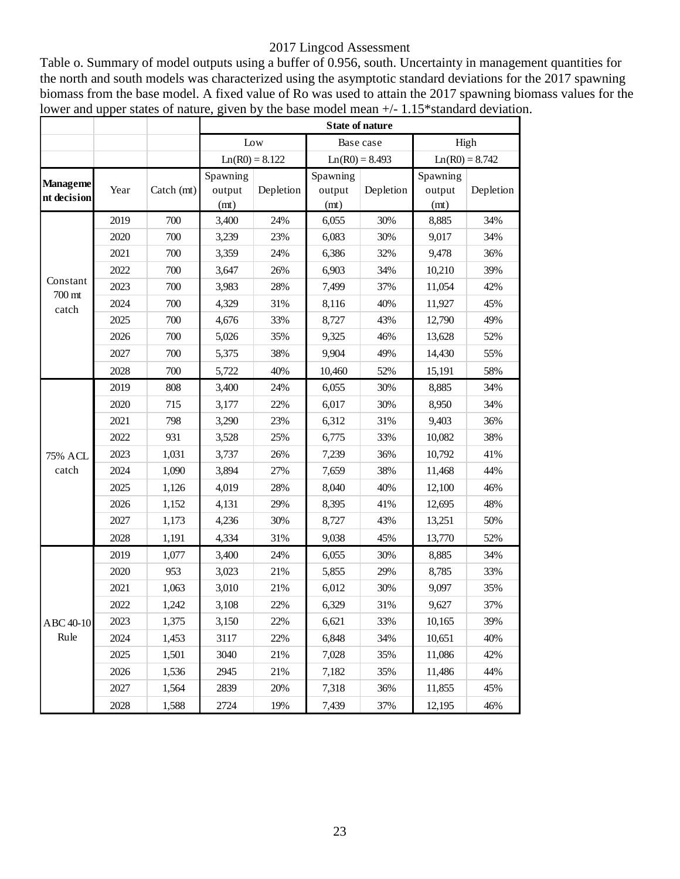Table o. Summary of model outputs using a buffer of 0.956, south. Uncertainty in management quantities for the north and south models was characterized using the asymptotic standard deviations for the 2017 spawning biomass from the base model. A fixed value of Ro was used to attain the 2017 spawning biomass values for the lower and upper states of nature, given by the base model mean  $+/- 1.15*$ standard deviation.

|                                              |      |              |          | <b>State of nature</b><br>Low<br>Base case<br>$Ln(R0) = 8.122$<br>$Ln(R0) = 8.493$<br>Spawning<br>Depletion<br>Depletion<br>output<br>output<br>(mt)<br>(mt)<br>24%<br>30%<br>3,400<br>6,055<br>3,239<br>23%<br>6,083<br>30%<br>24%<br>6,386<br>32%<br>3,359<br>26%<br>6,903<br>34%<br>3,647<br>3,983<br>28%<br>7,499<br>37%<br>4,329<br>31%<br>8,116<br>40%<br>33%<br>8,727<br>43%<br>4,676<br>5,026<br>35%<br>9,325<br>46%<br>9,904<br>38%<br>49%<br>5,375<br>40%<br>5,722<br>52%<br>10,460<br>30%<br>3,400<br>24%<br>6,055 |       |     |                            |                  |  |  |
|----------------------------------------------|------|--------------|----------|-------------------------------------------------------------------------------------------------------------------------------------------------------------------------------------------------------------------------------------------------------------------------------------------------------------------------------------------------------------------------------------------------------------------------------------------------------------------------------------------------------------------------------|-------|-----|----------------------------|------------------|--|--|
| Constant<br>700 mt<br>catch                  |      |              |          |                                                                                                                                                                                                                                                                                                                                                                                                                                                                                                                               |       |     |                            | High             |  |  |
|                                              |      |              |          |                                                                                                                                                                                                                                                                                                                                                                                                                                                                                                                               |       |     |                            | $Ln(R0) = 8.742$ |  |  |
| <b>Manageme</b><br>nt decision               | Year | Catch $(mt)$ | Spawning |                                                                                                                                                                                                                                                                                                                                                                                                                                                                                                                               |       |     | Spawning<br>output<br>(mt) | Depletion        |  |  |
|                                              | 2019 | 700          |          |                                                                                                                                                                                                                                                                                                                                                                                                                                                                                                                               |       |     | 8,885                      | 34%              |  |  |
| <b>75% ACL</b><br>catch<br>ABC 40-10<br>Rule | 2020 | 700          |          |                                                                                                                                                                                                                                                                                                                                                                                                                                                                                                                               |       |     | 9,017                      | 34%              |  |  |
|                                              | 2021 | 700          |          |                                                                                                                                                                                                                                                                                                                                                                                                                                                                                                                               |       |     | 9,478                      | 36%              |  |  |
|                                              | 2022 | 700          |          |                                                                                                                                                                                                                                                                                                                                                                                                                                                                                                                               |       |     | 10,210                     | 39%              |  |  |
|                                              | 2023 | 700          |          |                                                                                                                                                                                                                                                                                                                                                                                                                                                                                                                               |       |     | 11,054                     | 42%              |  |  |
|                                              | 2024 | 700          |          |                                                                                                                                                                                                                                                                                                                                                                                                                                                                                                                               |       |     | 11,927                     | 45%              |  |  |
|                                              | 2025 | 700          |          |                                                                                                                                                                                                                                                                                                                                                                                                                                                                                                                               |       |     | 12,790                     | 49%              |  |  |
|                                              | 2026 | 700          |          |                                                                                                                                                                                                                                                                                                                                                                                                                                                                                                                               |       |     | 13,628                     | 52%              |  |  |
|                                              | 2027 | 700          |          |                                                                                                                                                                                                                                                                                                                                                                                                                                                                                                                               |       |     | 14,430                     | 55%              |  |  |
|                                              | 2028 | 700          |          |                                                                                                                                                                                                                                                                                                                                                                                                                                                                                                                               |       |     | 15,191                     | 58%              |  |  |
|                                              | 2019 | 808          |          |                                                                                                                                                                                                                                                                                                                                                                                                                                                                                                                               |       |     | 8,885                      | 34%              |  |  |
|                                              | 2020 | 715          | 3,177    | 22%                                                                                                                                                                                                                                                                                                                                                                                                                                                                                                                           | 6,017 | 30% | 8,950                      | 34%              |  |  |
|                                              | 2021 | 798          | 3,290    | 23%                                                                                                                                                                                                                                                                                                                                                                                                                                                                                                                           | 6,312 | 31% | 9,403                      | 36%              |  |  |
|                                              | 2022 | 931          | 3,528    | 25%                                                                                                                                                                                                                                                                                                                                                                                                                                                                                                                           | 6,775 | 33% | 10,082                     | 38%              |  |  |
|                                              | 2023 | 1,031        | 3,737    | 26%                                                                                                                                                                                                                                                                                                                                                                                                                                                                                                                           | 7,239 | 36% | 10,792                     | 41%              |  |  |
|                                              | 2024 | 1,090        | 3,894    | 27%                                                                                                                                                                                                                                                                                                                                                                                                                                                                                                                           | 7,659 | 38% | 11,468                     | 44%              |  |  |
|                                              | 2025 | 1,126        | 4,019    | 28%                                                                                                                                                                                                                                                                                                                                                                                                                                                                                                                           | 8,040 | 40% | 12,100                     | 46%              |  |  |
|                                              | 2026 | 1,152        | 4,131    | 29%                                                                                                                                                                                                                                                                                                                                                                                                                                                                                                                           | 8,395 | 41% | 12,695                     | 48%              |  |  |
|                                              | 2027 | 1,173        | 4,236    | 30%                                                                                                                                                                                                                                                                                                                                                                                                                                                                                                                           | 8,727 | 43% | 13,251                     | 50%              |  |  |
|                                              | 2028 | 1,191        | 4,334    | 31%                                                                                                                                                                                                                                                                                                                                                                                                                                                                                                                           | 9,038 | 45% | 13,770                     | 52%              |  |  |
|                                              | 2019 | 1,077        | 3,400    | 24%                                                                                                                                                                                                                                                                                                                                                                                                                                                                                                                           | 6,055 | 30% | 8,885                      | 34%              |  |  |
|                                              | 2020 | 953          | 3,023    | 21%                                                                                                                                                                                                                                                                                                                                                                                                                                                                                                                           | 5,855 | 29% | 8,785                      | 33%              |  |  |
|                                              | 2021 | 1,063        | 3,010    | 21%                                                                                                                                                                                                                                                                                                                                                                                                                                                                                                                           | 6,012 | 30% | 9,097                      | 35%              |  |  |
|                                              | 2022 | 1,242        | 3,108    | 22%                                                                                                                                                                                                                                                                                                                                                                                                                                                                                                                           | 6,329 | 31% | 9,627                      | 37%              |  |  |
|                                              | 2023 | 1,375        | 3,150    | 22%                                                                                                                                                                                                                                                                                                                                                                                                                                                                                                                           | 6,621 | 33% | 10,165                     | 39%              |  |  |
|                                              | 2024 | 1,453        | 3117     | 22%                                                                                                                                                                                                                                                                                                                                                                                                                                                                                                                           | 6,848 | 34% | 10,651                     | 40%              |  |  |
|                                              | 2025 | 1,501        | 3040     | 21%                                                                                                                                                                                                                                                                                                                                                                                                                                                                                                                           | 7,028 | 35% | 11,086                     | 42%              |  |  |
|                                              | 2026 | 1,536        | 2945     | 21%                                                                                                                                                                                                                                                                                                                                                                                                                                                                                                                           | 7,182 | 35% | 11,486                     | 44%              |  |  |
|                                              | 2027 | 1,564        | 2839     | 20%                                                                                                                                                                                                                                                                                                                                                                                                                                                                                                                           | 7,318 | 36% | 11,855                     | 45%              |  |  |
|                                              | 2028 | 1,588        | 2724     | 19%                                                                                                                                                                                                                                                                                                                                                                                                                                                                                                                           | 7,439 | 37% | 12,195                     | 46%              |  |  |